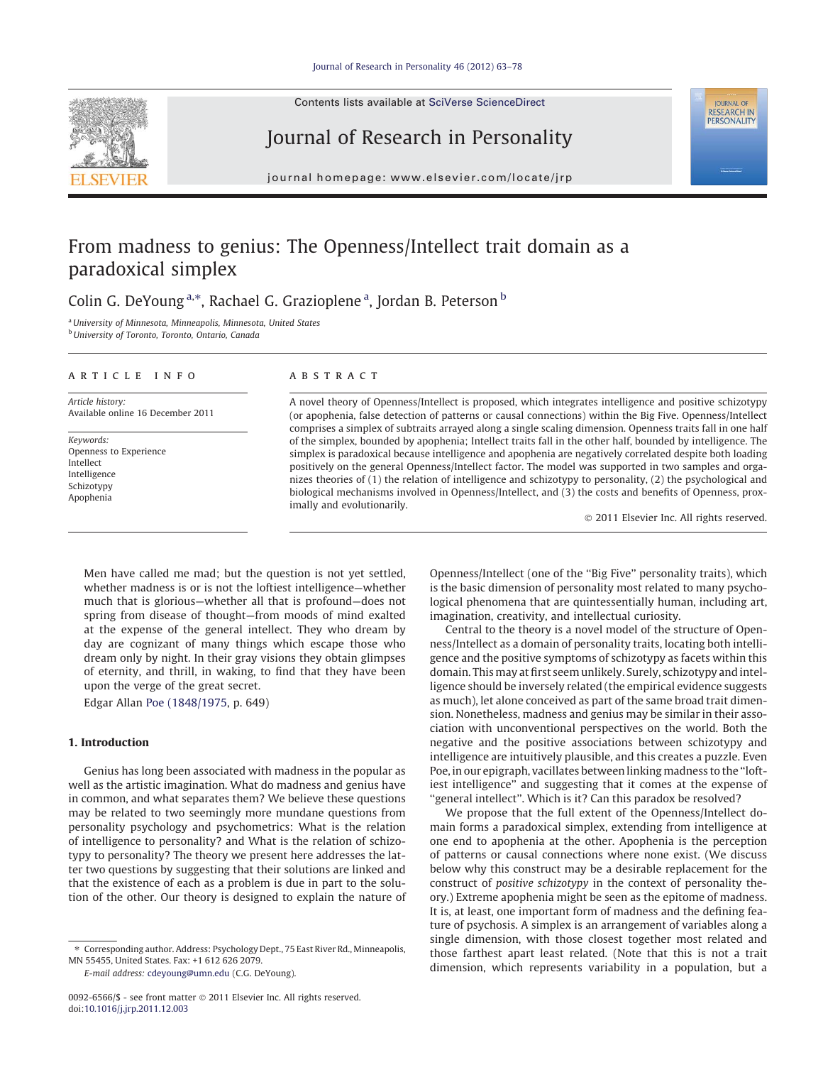# Journal of Research in Personality

journal homepage: www.elsevier.com/locate/jrp

# From madness to genius: The Openness/Intellect trait domain as a paradoxical simplex

Colin G. DeYoung<sup>a,\*</sup>, Rachael G. Grazioplene<sup>a</sup>, Jordan B. Peterson<sup>b</sup>

<sup>a</sup> University of Minnesota, Minneapolis, Minnesota, United States **b** University of Toronto, Toronto, Ontario, Canada

# article info

Article history: Available online 16 December 2011

Keywords: Openness to Experience Intellect Intelligence Schizotypy Apophenia

# ABSTRACT

A novel theory of Openness/Intellect is proposed, which integrates intelligence and positive schizotypy (or apophenia, false detection of patterns or causal connections) within the Big Five. Openness/Intellect comprises a simplex of subtraits arrayed along a single scaling dimension. Openness traits fall in one half of the simplex, bounded by apophenia; Intellect traits fall in the other half, bounded by intelligence. The simplex is paradoxical because intelligence and apophenia are negatively correlated despite both loading positively on the general Openness/Intellect factor. The model was supported in two samples and organizes theories of (1) the relation of intelligence and schizotypy to personality, (2) the psychological and biological mechanisms involved in Openness/Intellect, and (3) the costs and benefits of Openness, proximally and evolutionarily.

- 2011 Elsevier Inc. All rights reserved.

JOURNAL OF<br>RESEARCH IN PERSONALITY

Men have called me mad; but the question is not yet settled, whether madness is or is not the loftiest intelligence—whether much that is glorious—whether all that is profound—does not spring from disease of thought—from moods of mind exalted at the expense of the general intellect. They who dream by day are cognizant of many things which escape those who dream only by night. In their gray visions they obtain glimpses of eternity, and thrill, in waking, to find that they have been upon the verge of the great secret.

Edgar Allan Poe (1848/1975, p. 649)

# 1. Introduction

Genius has long been associated with madness in the popular as well as the artistic imagination. What do madness and genius have in common, and what separates them? We believe these questions may be related to two seemingly more mundane questions from personality psychology and psychometrics: What is the relation of intelligence to personality? and What is the relation of schizotypy to personality? The theory we present here addresses the latter two questions by suggesting that their solutions are linked and that the existence of each as a problem is due in part to the solution of the other. Our theory is designed to explain the nature of

⇑ Corresponding author. Address: Psychology Dept., 75 East River Rd., Minneapolis, MN 55455, United States. Fax: +1 612 626 2079.

E-mail address: cdeyoung@umn.edu (C.G. DeYoung).

Openness/Intellect (one of the ''Big Five'' personality traits), which is the basic dimension of personality most related to many psychological phenomena that are quintessentially human, including art, imagination, creativity, and intellectual curiosity.

Central to the theory is a novel model of the structure of Openness/Intellect as a domain of personality traits, locating both intelligence and the positive symptoms of schizotypy as facets within this domain. This may at first seem unlikely. Surely, schizotypy and intelligence should be inversely related (the empirical evidence suggests as much), let alone conceived as part of the same broad trait dimension. Nonetheless, madness and genius may be similar in their association with unconventional perspectives on the world. Both the negative and the positive associations between schizotypy and intelligence are intuitively plausible, and this creates a puzzle. Even Poe, in our epigraph, vacillates between linking madness to the ''loftiest intelligence'' and suggesting that it comes at the expense of ''general intellect''. Which is it? Can this paradox be resolved?

We propose that the full extent of the Openness/Intellect domain forms a paradoxical simplex, extending from intelligence at one end to apophenia at the other. Apophenia is the perception of patterns or causal connections where none exist. (We discuss below why this construct may be a desirable replacement for the construct of positive schizotypy in the context of personality theory.) Extreme apophenia might be seen as the epitome of madness. It is, at least, one important form of madness and the defining feature of psychosis. A simplex is an arrangement of variables along a single dimension, with those closest together most related and those farthest apart least related. (Note that this is not a trait dimension, which represents variability in a population, but a



<sup>0092-6566/\$ -</sup> see front matter © 2011 Elsevier Inc. All rights reserved. doi:10.1016/j.jrp.2011.12.003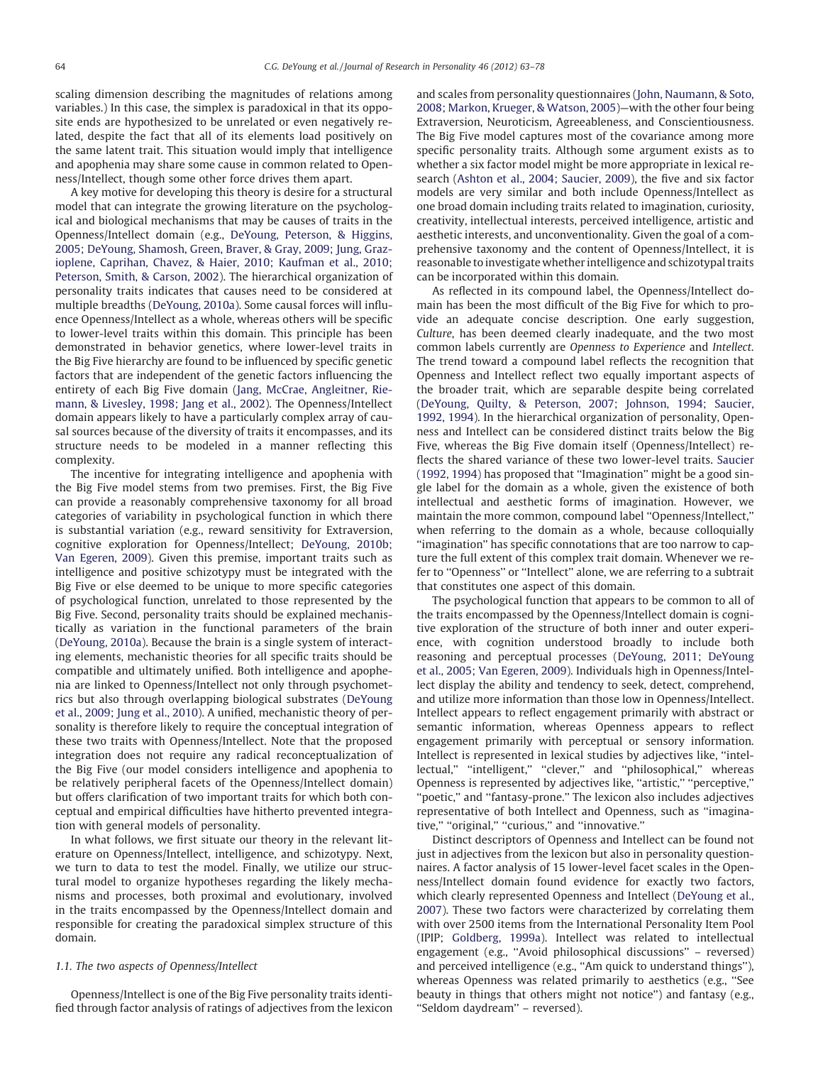scaling dimension describing the magnitudes of relations among variables.) In this case, the simplex is paradoxical in that its opposite ends are hypothesized to be unrelated or even negatively related, despite the fact that all of its elements load positively on the same latent trait. This situation would imply that intelligence and apophenia may share some cause in common related to Openness/Intellect, though some other force drives them apart.

A key motive for developing this theory is desire for a structural model that can integrate the growing literature on the psychological and biological mechanisms that may be causes of traits in the Openness/Intellect domain (e.g., DeYoung, Peterson, & Higgins, 2005; DeYoung, Shamosh, Green, Braver, & Gray, 2009; Jung, Grazioplene, Caprihan, Chavez, & Haier, 2010; Kaufman et al., 2010; Peterson, Smith, & Carson, 2002). The hierarchical organization of personality traits indicates that causes need to be considered at multiple breadths (DeYoung, 2010a). Some causal forces will influence Openness/Intellect as a whole, whereas others will be specific to lower-level traits within this domain. This principle has been demonstrated in behavior genetics, where lower-level traits in the Big Five hierarchy are found to be influenced by specific genetic factors that are independent of the genetic factors influencing the entirety of each Big Five domain (Jang, McCrae, Angleitner, Riemann, & Livesley, 1998; Jang et al., 2002). The Openness/Intellect domain appears likely to have a particularly complex array of causal sources because of the diversity of traits it encompasses, and its structure needs to be modeled in a manner reflecting this complexity.

The incentive for integrating intelligence and apophenia with the Big Five model stems from two premises. First, the Big Five can provide a reasonably comprehensive taxonomy for all broad categories of variability in psychological function in which there is substantial variation (e.g., reward sensitivity for Extraversion, cognitive exploration for Openness/Intellect; DeYoung, 2010b; Van Egeren, 2009). Given this premise, important traits such as intelligence and positive schizotypy must be integrated with the Big Five or else deemed to be unique to more specific categories of psychological function, unrelated to those represented by the Big Five. Second, personality traits should be explained mechanistically as variation in the functional parameters of the brain (DeYoung, 2010a). Because the brain is a single system of interacting elements, mechanistic theories for all specific traits should be compatible and ultimately unified. Both intelligence and apophenia are linked to Openness/Intellect not only through psychometrics but also through overlapping biological substrates (DeYoung et al., 2009; Jung et al., 2010). A unified, mechanistic theory of personality is therefore likely to require the conceptual integration of these two traits with Openness/Intellect. Note that the proposed integration does not require any radical reconceptualization of the Big Five (our model considers intelligence and apophenia to be relatively peripheral facets of the Openness/Intellect domain) but offers clarification of two important traits for which both conceptual and empirical difficulties have hitherto prevented integration with general models of personality.

In what follows, we first situate our theory in the relevant literature on Openness/Intellect, intelligence, and schizotypy. Next, we turn to data to test the model. Finally, we utilize our structural model to organize hypotheses regarding the likely mechanisms and processes, both proximal and evolutionary, involved in the traits encompassed by the Openness/Intellect domain and responsible for creating the paradoxical simplex structure of this domain.

### 1.1. The two aspects of Openness/Intellect

Openness/Intellect is one of the Big Five personality traits identified through factor analysis of ratings of adjectives from the lexicon and scales from personality questionnaires (John, Naumann, & Soto, 2008; Markon, Krueger, & Watson, 2005)—with the other four being Extraversion, Neuroticism, Agreeableness, and Conscientiousness. The Big Five model captures most of the covariance among more specific personality traits. Although some argument exists as to whether a six factor model might be more appropriate in lexical research (Ashton et al., 2004; Saucier, 2009), the five and six factor models are very similar and both include Openness/Intellect as one broad domain including traits related to imagination, curiosity, creativity, intellectual interests, perceived intelligence, artistic and aesthetic interests, and unconventionality. Given the goal of a comprehensive taxonomy and the content of Openness/Intellect, it is reasonable to investigate whether intelligence and schizotypal traits can be incorporated within this domain.

As reflected in its compound label, the Openness/Intellect domain has been the most difficult of the Big Five for which to provide an adequate concise description. One early suggestion, Culture, has been deemed clearly inadequate, and the two most common labels currently are Openness to Experience and Intellect. The trend toward a compound label reflects the recognition that Openness and Intellect reflect two equally important aspects of the broader trait, which are separable despite being correlated (DeYoung, Quilty, & Peterson, 2007; Johnson, 1994; Saucier, 1992, 1994). In the hierarchical organization of personality, Openness and Intellect can be considered distinct traits below the Big Five, whereas the Big Five domain itself (Openness/Intellect) reflects the shared variance of these two lower-level traits. Saucier (1992, 1994) has proposed that ''Imagination'' might be a good single label for the domain as a whole, given the existence of both intellectual and aesthetic forms of imagination. However, we maintain the more common, compound label ''Openness/Intellect,'' when referring to the domain as a whole, because colloquially ''imagination'' has specific connotations that are too narrow to capture the full extent of this complex trait domain. Whenever we refer to "Openness" or "Intellect" alone, we are referring to a subtrait that constitutes one aspect of this domain.

The psychological function that appears to be common to all of the traits encompassed by the Openness/Intellect domain is cognitive exploration of the structure of both inner and outer experience, with cognition understood broadly to include both reasoning and perceptual processes (DeYoung, 2011; DeYoung et al., 2005; Van Egeren, 2009). Individuals high in Openness/Intellect display the ability and tendency to seek, detect, comprehend, and utilize more information than those low in Openness/Intellect. Intellect appears to reflect engagement primarily with abstract or semantic information, whereas Openness appears to reflect engagement primarily with perceptual or sensory information. Intellect is represented in lexical studies by adjectives like, ''intellectual," "intelligent," "clever," and "philosophical," whereas Openness is represented by adjectives like, ''artistic,'' ''perceptive,'' ''poetic,'' and ''fantasy-prone.'' The lexicon also includes adjectives representative of both Intellect and Openness, such as ''imaginative," "original," "curious," and "innovative."

Distinct descriptors of Openness and Intellect can be found not just in adjectives from the lexicon but also in personality questionnaires. A factor analysis of 15 lower-level facet scales in the Openness/Intellect domain found evidence for exactly two factors, which clearly represented Openness and Intellect (DeYoung et al., 2007). These two factors were characterized by correlating them with over 2500 items from the International Personality Item Pool (IPIP; Goldberg, 1999a). Intellect was related to intellectual engagement (e.g., ''Avoid philosophical discussions'' – reversed) and perceived intelligence (e.g., ''Am quick to understand things''), whereas Openness was related primarily to aesthetics (e.g., ''See beauty in things that others might not notice'') and fantasy (e.g., ''Seldom daydream'' – reversed).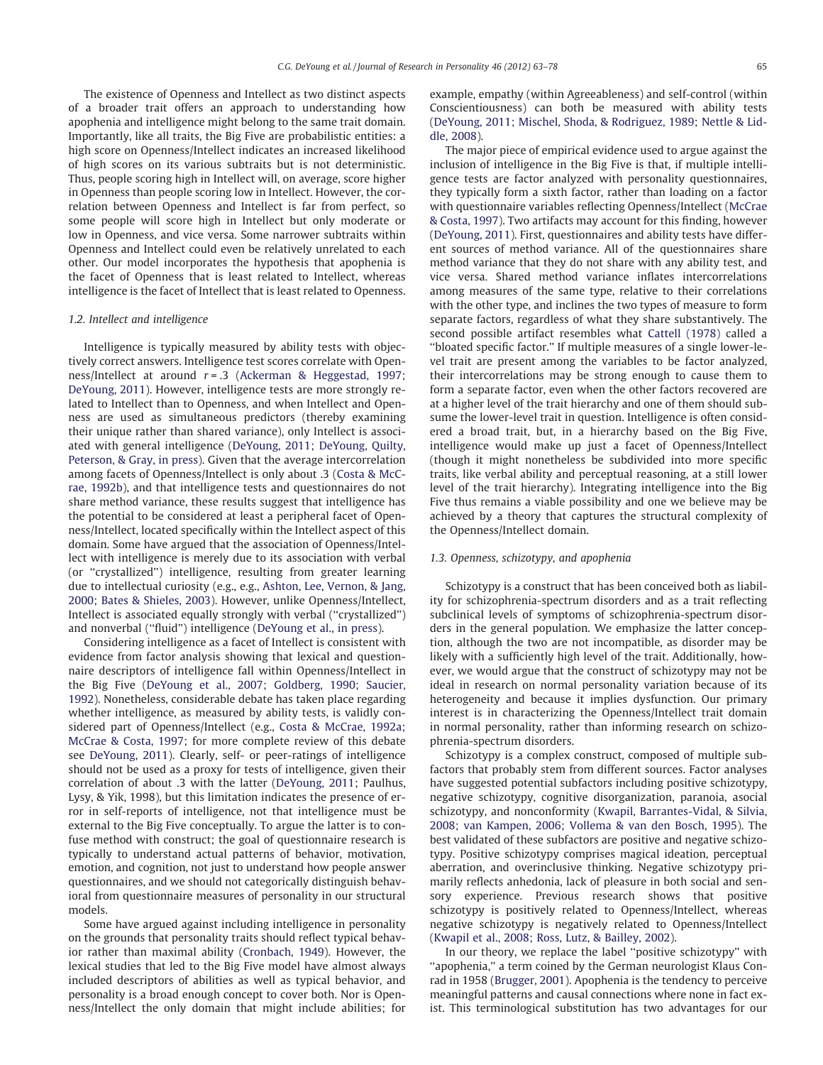The existence of Openness and Intellect as two distinct aspects of a broader trait offers an approach to understanding how apophenia and intelligence might belong to the same trait domain. Importantly, like all traits, the Big Five are probabilistic entities: a high score on Openness/Intellect indicates an increased likelihood of high scores on its various subtraits but is not deterministic. Thus, people scoring high in Intellect will, on average, score higher in Openness than people scoring low in Intellect. However, the correlation between Openness and Intellect is far from perfect, so some people will score high in Intellect but only moderate or low in Openness, and vice versa. Some narrower subtraits within Openness and Intellect could even be relatively unrelated to each other. Our model incorporates the hypothesis that apophenia is the facet of Openness that is least related to Intellect, whereas intelligence is the facet of Intellect that is least related to Openness.

## 1.2. Intellect and intelligence

Intelligence is typically measured by ability tests with objectively correct answers. Intelligence test scores correlate with Openness/Intellect at around  $r = .3$  (Ackerman & Heggestad, 1997; DeYoung, 2011). However, intelligence tests are more strongly related to Intellect than to Openness, and when Intellect and Openness are used as simultaneous predictors (thereby examining their unique rather than shared variance), only Intellect is associated with general intelligence (DeYoung, 2011; DeYoung, Quilty, Peterson, & Gray, in press). Given that the average intercorrelation among facets of Openness/Intellect is only about .3 (Costa & McCrae, 1992b), and that intelligence tests and questionnaires do not share method variance, these results suggest that intelligence has the potential to be considered at least a peripheral facet of Openness/Intellect, located specifically within the Intellect aspect of this domain. Some have argued that the association of Openness/Intellect with intelligence is merely due to its association with verbal (or ''crystallized'') intelligence, resulting from greater learning due to intellectual curiosity (e.g., e.g., Ashton, Lee, Vernon, & Jang, 2000; Bates & Shieles, 2003). However, unlike Openness/Intellect, Intellect is associated equally strongly with verbal ("crystallized") and nonverbal (''fluid'') intelligence (DeYoung et al., in press).

Considering intelligence as a facet of Intellect is consistent with evidence from factor analysis showing that lexical and questionnaire descriptors of intelligence fall within Openness/Intellect in the Big Five (DeYoung et al., 2007; Goldberg, 1990; Saucier, 1992). Nonetheless, considerable debate has taken place regarding whether intelligence, as measured by ability tests, is validly considered part of Openness/Intellect (e.g., Costa & McCrae, 1992a; McCrae & Costa, 1997; for more complete review of this debate see DeYoung, 2011). Clearly, self- or peer-ratings of intelligence should not be used as a proxy for tests of intelligence, given their correlation of about .3 with the latter (DeYoung, 2011; Paulhus, Lysy, & Yik, 1998), but this limitation indicates the presence of error in self-reports of intelligence, not that intelligence must be external to the Big Five conceptually. To argue the latter is to confuse method with construct; the goal of questionnaire research is typically to understand actual patterns of behavior, motivation, emotion, and cognition, not just to understand how people answer questionnaires, and we should not categorically distinguish behavioral from questionnaire measures of personality in our structural models.

Some have argued against including intelligence in personality on the grounds that personality traits should reflect typical behavior rather than maximal ability (Cronbach, 1949). However, the lexical studies that led to the Big Five model have almost always included descriptors of abilities as well as typical behavior, and personality is a broad enough concept to cover both. Nor is Openness/Intellect the only domain that might include abilities; for example, empathy (within Agreeableness) and self-control (within Conscientiousness) can both be measured with ability tests (DeYoung, 2011; Mischel, Shoda, & Rodriguez, 1989; Nettle & Liddle, 2008).

The major piece of empirical evidence used to argue against the inclusion of intelligence in the Big Five is that, if multiple intelligence tests are factor analyzed with personality questionnaires, they typically form a sixth factor, rather than loading on a factor with questionnaire variables reflecting Openness/Intellect (McCrae & Costa, 1997). Two artifacts may account for this finding, however (DeYoung, 2011). First, questionnaires and ability tests have different sources of method variance. All of the questionnaires share method variance that they do not share with any ability test, and vice versa. Shared method variance inflates intercorrelations among measures of the same type, relative to their correlations with the other type, and inclines the two types of measure to form separate factors, regardless of what they share substantively. The second possible artifact resembles what Cattell (1978) called a ''bloated specific factor.'' If multiple measures of a single lower-level trait are present among the variables to be factor analyzed, their intercorrelations may be strong enough to cause them to form a separate factor, even when the other factors recovered are at a higher level of the trait hierarchy and one of them should subsume the lower-level trait in question. Intelligence is often considered a broad trait, but, in a hierarchy based on the Big Five, intelligence would make up just a facet of Openness/Intellect (though it might nonetheless be subdivided into more specific traits, like verbal ability and perceptual reasoning, at a still lower level of the trait hierarchy). Integrating intelligence into the Big Five thus remains a viable possibility and one we believe may be achieved by a theory that captures the structural complexity of the Openness/Intellect domain.

#### 1.3. Openness, schizotypy, and apophenia

Schizotypy is a construct that has been conceived both as liability for schizophrenia-spectrum disorders and as a trait reflecting subclinical levels of symptoms of schizophrenia-spectrum disorders in the general population. We emphasize the latter conception, although the two are not incompatible, as disorder may be likely with a sufficiently high level of the trait. Additionally, however, we would argue that the construct of schizotypy may not be ideal in research on normal personality variation because of its heterogeneity and because it implies dysfunction. Our primary interest is in characterizing the Openness/Intellect trait domain in normal personality, rather than informing research on schizophrenia-spectrum disorders.

Schizotypy is a complex construct, composed of multiple subfactors that probably stem from different sources. Factor analyses have suggested potential subfactors including positive schizotypy, negative schizotypy, cognitive disorganization, paranoia, asocial schizotypy, and nonconformity (Kwapil, Barrantes-Vidal, & Silvia, 2008; van Kampen, 2006; Vollema & van den Bosch, 1995). The best validated of these subfactors are positive and negative schizotypy. Positive schizotypy comprises magical ideation, perceptual aberration, and overinclusive thinking. Negative schizotypy primarily reflects anhedonia, lack of pleasure in both social and sensory experience. Previous research shows that positive schizotypy is positively related to Openness/Intellect, whereas negative schizotypy is negatively related to Openness/Intellect (Kwapil et al., 2008; Ross, Lutz, & Bailley, 2002).

In our theory, we replace the label ''positive schizotypy'' with ''apophenia,'' a term coined by the German neurologist Klaus Conrad in 1958 (Brugger, 2001). Apophenia is the tendency to perceive meaningful patterns and causal connections where none in fact exist. This terminological substitution has two advantages for our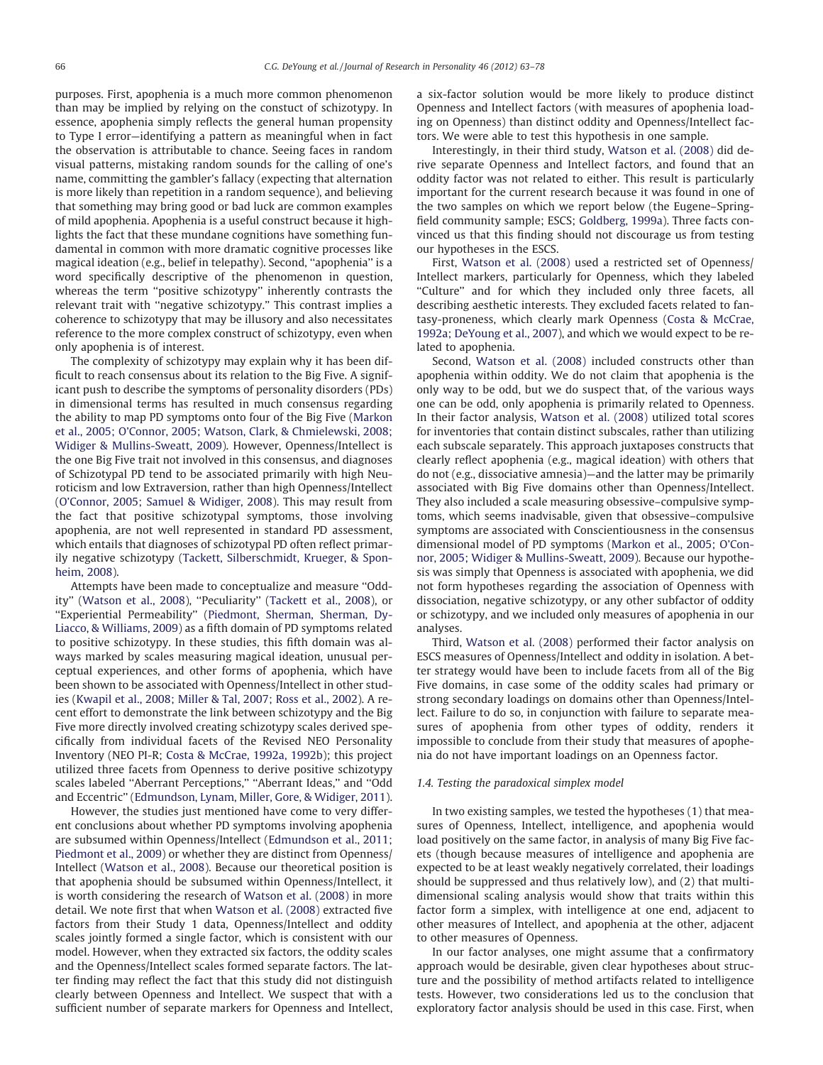purposes. First, apophenia is a much more common phenomenon than may be implied by relying on the constuct of schizotypy. In essence, apophenia simply reflects the general human propensity to Type I error—identifying a pattern as meaningful when in fact the observation is attributable to chance. Seeing faces in random visual patterns, mistaking random sounds for the calling of one's name, committing the gambler's fallacy (expecting that alternation is more likely than repetition in a random sequence), and believing that something may bring good or bad luck are common examples of mild apophenia. Apophenia is a useful construct because it highlights the fact that these mundane cognitions have something fundamental in common with more dramatic cognitive processes like magical ideation (e.g., belief in telepathy). Second, ''apophenia'' is a word specifically descriptive of the phenomenon in question, whereas the term ''positive schizotypy'' inherently contrasts the relevant trait with ''negative schizotypy.'' This contrast implies a coherence to schizotypy that may be illusory and also necessitates reference to the more complex construct of schizotypy, even when only apophenia is of interest.

The complexity of schizotypy may explain why it has been difficult to reach consensus about its relation to the Big Five. A significant push to describe the symptoms of personality disorders (PDs) in dimensional terms has resulted in much consensus regarding the ability to map PD symptoms onto four of the Big Five (Markon et al., 2005; O'Connor, 2005; Watson, Clark, & Chmielewski, 2008; Widiger & Mullins-Sweatt, 2009). However, Openness/Intellect is the one Big Five trait not involved in this consensus, and diagnoses of Schizotypal PD tend to be associated primarily with high Neuroticism and low Extraversion, rather than high Openness/Intellect (O'Connor, 2005; Samuel & Widiger, 2008). This may result from the fact that positive schizotypal symptoms, those involving apophenia, are not well represented in standard PD assessment, which entails that diagnoses of schizotypal PD often reflect primarily negative schizotypy (Tackett, Silberschmidt, Krueger, & Sponheim, 2008).

Attempts have been made to conceptualize and measure ''Oddity'' (Watson et al., 2008), ''Peculiarity'' (Tackett et al., 2008), or ''Experiential Permeability'' (Piedmont, Sherman, Sherman, Dy-Liacco, & Williams, 2009) as a fifth domain of PD symptoms related to positive schizotypy. In these studies, this fifth domain was always marked by scales measuring magical ideation, unusual perceptual experiences, and other forms of apophenia, which have been shown to be associated with Openness/Intellect in other studies (Kwapil et al., 2008; Miller & Tal, 2007; Ross et al., 2002). A recent effort to demonstrate the link between schizotypy and the Big Five more directly involved creating schizotypy scales derived specifically from individual facets of the Revised NEO Personality Inventory (NEO PI-R; Costa & McCrae, 1992a, 1992b); this project utilized three facets from Openness to derive positive schizotypy scales labeled ''Aberrant Perceptions,'' ''Aberrant Ideas,'' and ''Odd and Eccentric'' (Edmundson, Lynam, Miller, Gore, & Widiger, 2011).

However, the studies just mentioned have come to very different conclusions about whether PD symptoms involving apophenia are subsumed within Openness/Intellect (Edmundson et al., 2011; Piedmont et al., 2009) or whether they are distinct from Openness/ Intellect (Watson et al., 2008). Because our theoretical position is that apophenia should be subsumed within Openness/Intellect, it is worth considering the research of Watson et al. (2008) in more detail. We note first that when Watson et al. (2008) extracted five factors from their Study 1 data, Openness/Intellect and oddity scales jointly formed a single factor, which is consistent with our model. However, when they extracted six factors, the oddity scales and the Openness/Intellect scales formed separate factors. The latter finding may reflect the fact that this study did not distinguish clearly between Openness and Intellect. We suspect that with a sufficient number of separate markers for Openness and Intellect,

a six-factor solution would be more likely to produce distinct Openness and Intellect factors (with measures of apophenia loading on Openness) than distinct oddity and Openness/Intellect factors. We were able to test this hypothesis in one sample.

Interestingly, in their third study, Watson et al. (2008) did derive separate Openness and Intellect factors, and found that an oddity factor was not related to either. This result is particularly important for the current research because it was found in one of the two samples on which we report below (the Eugene–Springfield community sample; ESCS; Goldberg, 1999a). Three facts convinced us that this finding should not discourage us from testing our hypotheses in the ESCS.

First, Watson et al. (2008) used a restricted set of Openness/ Intellect markers, particularly for Openness, which they labeled ''Culture'' and for which they included only three facets, all describing aesthetic interests. They excluded facets related to fantasy-proneness, which clearly mark Openness (Costa & McCrae, 1992a; DeYoung et al., 2007), and which we would expect to be related to apophenia.

Second, Watson et al. (2008) included constructs other than apophenia within oddity. We do not claim that apophenia is the only way to be odd, but we do suspect that, of the various ways one can be odd, only apophenia is primarily related to Openness. In their factor analysis, Watson et al. (2008) utilized total scores for inventories that contain distinct subscales, rather than utilizing each subscale separately. This approach juxtaposes constructs that clearly reflect apophenia (e.g., magical ideation) with others that do not (e.g., dissociative amnesia)—and the latter may be primarily associated with Big Five domains other than Openness/Intellect. They also included a scale measuring obsessive–compulsive symptoms, which seems inadvisable, given that obsessive–compulsive symptoms are associated with Conscientiousness in the consensus dimensional model of PD symptoms (Markon et al., 2005; O'Connor, 2005; Widiger & Mullins-Sweatt, 2009). Because our hypothesis was simply that Openness is associated with apophenia, we did not form hypotheses regarding the association of Openness with dissociation, negative schizotypy, or any other subfactor of oddity or schizotypy, and we included only measures of apophenia in our analyses.

Third, Watson et al. (2008) performed their factor analysis on ESCS measures of Openness/Intellect and oddity in isolation. A better strategy would have been to include facets from all of the Big Five domains, in case some of the oddity scales had primary or strong secondary loadings on domains other than Openness/Intellect. Failure to do so, in conjunction with failure to separate measures of apophenia from other types of oddity, renders it impossible to conclude from their study that measures of apophenia do not have important loadings on an Openness factor.

## 1.4. Testing the paradoxical simplex model

In two existing samples, we tested the hypotheses (1) that measures of Openness, Intellect, intelligence, and apophenia would load positively on the same factor, in analysis of many Big Five facets (though because measures of intelligence and apophenia are expected to be at least weakly negatively correlated, their loadings should be suppressed and thus relatively low), and (2) that multidimensional scaling analysis would show that traits within this factor form a simplex, with intelligence at one end, adjacent to other measures of Intellect, and apophenia at the other, adjacent to other measures of Openness.

In our factor analyses, one might assume that a confirmatory approach would be desirable, given clear hypotheses about structure and the possibility of method artifacts related to intelligence tests. However, two considerations led us to the conclusion that exploratory factor analysis should be used in this case. First, when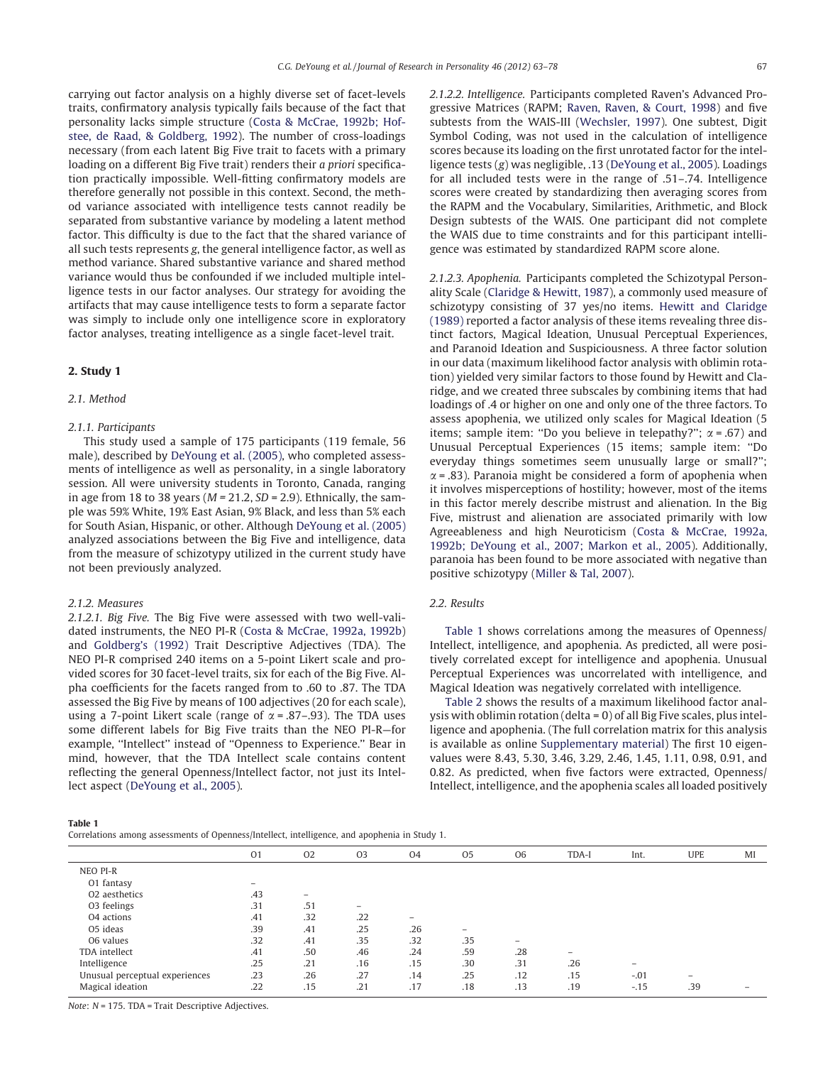carrying out factor analysis on a highly diverse set of facet-levels traits, confirmatory analysis typically fails because of the fact that personality lacks simple structure (Costa & McCrae, 1992b; Hofstee, de Raad, & Goldberg, 1992). The number of cross-loadings necessary (from each latent Big Five trait to facets with a primary loading on a different Big Five trait) renders their a priori specification practically impossible. Well-fitting confirmatory models are therefore generally not possible in this context. Second, the method variance associated with intelligence tests cannot readily be separated from substantive variance by modeling a latent method factor. This difficulty is due to the fact that the shared variance of all such tests represents g, the general intelligence factor, as well as method variance. Shared substantive variance and shared method variance would thus be confounded if we included multiple intelligence tests in our factor analyses. Our strategy for avoiding the artifacts that may cause intelligence tests to form a separate factor was simply to include only one intelligence score in exploratory factor analyses, treating intelligence as a single facet-level trait.

# 2. Study 1

# 2.1. Method

# 2.1.1. Participants

This study used a sample of 175 participants (119 female, 56 male), described by DeYoung et al. (2005), who completed assessments of intelligence as well as personality, in a single laboratory session. All were university students in Toronto, Canada, ranging in age from 18 to 38 years ( $M = 21.2$ ,  $SD = 2.9$ ). Ethnically, the sample was 59% White, 19% East Asian, 9% Black, and less than 5% each for South Asian, Hispanic, or other. Although DeYoung et al. (2005) analyzed associations between the Big Five and intelligence, data from the measure of schizotypy utilized in the current study have not been previously analyzed.

#### 2.1.2. Measures

2.1.2.1. Big Five. The Big Five were assessed with two well-validated instruments, the NEO PI-R (Costa & McCrae, 1992a, 1992b) and Goldberg's (1992) Trait Descriptive Adjectives (TDA). The NEO PI-R comprised 240 items on a 5-point Likert scale and provided scores for 30 facet-level traits, six for each of the Big Five. Alpha coefficients for the facets ranged from to .60 to .87. The TDA assessed the Big Five by means of 100 adjectives (20 for each scale), using a 7-point Likert scale (range of  $\alpha$  = .87–.93). The TDA uses some different labels for Big Five traits than the NEO PI-R—for example, ''Intellect'' instead of ''Openness to Experience.'' Bear in mind, however, that the TDA Intellect scale contains content reflecting the general Openness/Intellect factor, not just its Intellect aspect (DeYoung et al., 2005).

2.1.2.2. Intelligence. Participants completed Raven's Advanced Progressive Matrices (RAPM; Raven, Raven, & Court, 1998) and five subtests from the WAIS-III (Wechsler, 1997). One subtest, Digit Symbol Coding, was not used in the calculation of intelligence scores because its loading on the first unrotated factor for the intelligence tests (g) was negligible, .13 (DeYoung et al., 2005). Loadings for all included tests were in the range of .51–.74. Intelligence scores were created by standardizing then averaging scores from the RAPM and the Vocabulary, Similarities, Arithmetic, and Block Design subtests of the WAIS. One participant did not complete the WAIS due to time constraints and for this participant intelligence was estimated by standardized RAPM score alone.

2.1.2.3. Apophenia. Participants completed the Schizotypal Personality Scale (Claridge & Hewitt, 1987), a commonly used measure of schizotypy consisting of 37 yes/no items. Hewitt and Claridge (1989) reported a factor analysis of these items revealing three distinct factors, Magical Ideation, Unusual Perceptual Experiences, and Paranoid Ideation and Suspiciousness. A three factor solution in our data (maximum likelihood factor analysis with oblimin rotation) yielded very similar factors to those found by Hewitt and Claridge, and we created three subscales by combining items that had loadings of .4 or higher on one and only one of the three factors. To assess apophenia, we utilized only scales for Magical Ideation (5 items; sample item: "Do you believe in telepathy?";  $\alpha$  = .67) and Unusual Perceptual Experiences (15 items; sample item: ''Do everyday things sometimes seem unusually large or small?'';  $\alpha$  = .83). Paranoia might be considered a form of apophenia when it involves misperceptions of hostility; however, most of the items in this factor merely describe mistrust and alienation. In the Big Five, mistrust and alienation are associated primarily with low Agreeableness and high Neuroticism (Costa & McCrae, 1992a, 1992b; DeYoung et al., 2007; Markon et al., 2005). Additionally, paranoia has been found to be more associated with negative than positive schizotypy (Miller & Tal, 2007).

# 2.2. Results

Table 1 shows correlations among the measures of Openness/ Intellect, intelligence, and apophenia. As predicted, all were positively correlated except for intelligence and apophenia. Unusual Perceptual Experiences was uncorrelated with intelligence, and Magical Ideation was negatively correlated with intelligence.

Table 2 shows the results of a maximum likelihood factor analysis with oblimin rotation (delta = 0) of all Big Five scales, plus intelligence and apophenia. (The full correlation matrix for this analysis is available as online Supplementary material) The first 10 eigenvalues were 8.43, 5.30, 3.46, 3.29, 2.46, 1.45, 1.11, 0.98, 0.91, and 0.82. As predicted, when five factors were extracted, Openness/ Intellect, intelligence, and the apophenia scales all loaded positively

|--|

Correlations among assessments of Openness/Intellect, intelligence, and apophenia in Study 1.

|                                | O <sub>1</sub> | 02                       | O <sub>3</sub> | 04  | 05                       | 06  | TDA-I | Int.                     | <b>UPE</b>               | MI |
|--------------------------------|----------------|--------------------------|----------------|-----|--------------------------|-----|-------|--------------------------|--------------------------|----|
| NEO PI-R                       |                |                          |                |     |                          |     |       |                          |                          |    |
| O1 fantasy                     |                |                          |                |     |                          |     |       |                          |                          |    |
| 02 aesthetics                  | .43            | $\overline{\phantom{0}}$ |                |     |                          |     |       |                          |                          |    |
| O3 feelings                    | .31            | .51                      | -              |     |                          |     |       |                          |                          |    |
| 04 actions                     | .41            | .32                      | .22            |     |                          |     |       |                          |                          |    |
| O5 ideas                       | .39            | .41                      | .25            | .26 | $\overline{\phantom{0}}$ |     |       |                          |                          |    |
| O6 values                      | .32            | .41                      | .35            | .32 | .35                      |     |       |                          |                          |    |
| TDA intellect                  | .41            | .50                      | .46            | .24 | .59                      | .28 |       |                          |                          |    |
| Intelligence                   | .25            | .21                      | .16            | .15 | .30                      | .31 | .26   | $\overline{\phantom{a}}$ |                          |    |
| Unusual perceptual experiences | .23            | .26                      | .27            | .14 | .25                      | .12 | .15   | $-.01$                   | $\overline{\phantom{0}}$ |    |
| Magical ideation               | .22            | .15                      | .21            | .17 | .18                      | .13 | .19   | $-.15$                   | .39                      |    |
|                                |                |                          |                |     |                          |     |       |                          |                          |    |

Note: N = 175. TDA = Trait Descriptive Adjectives.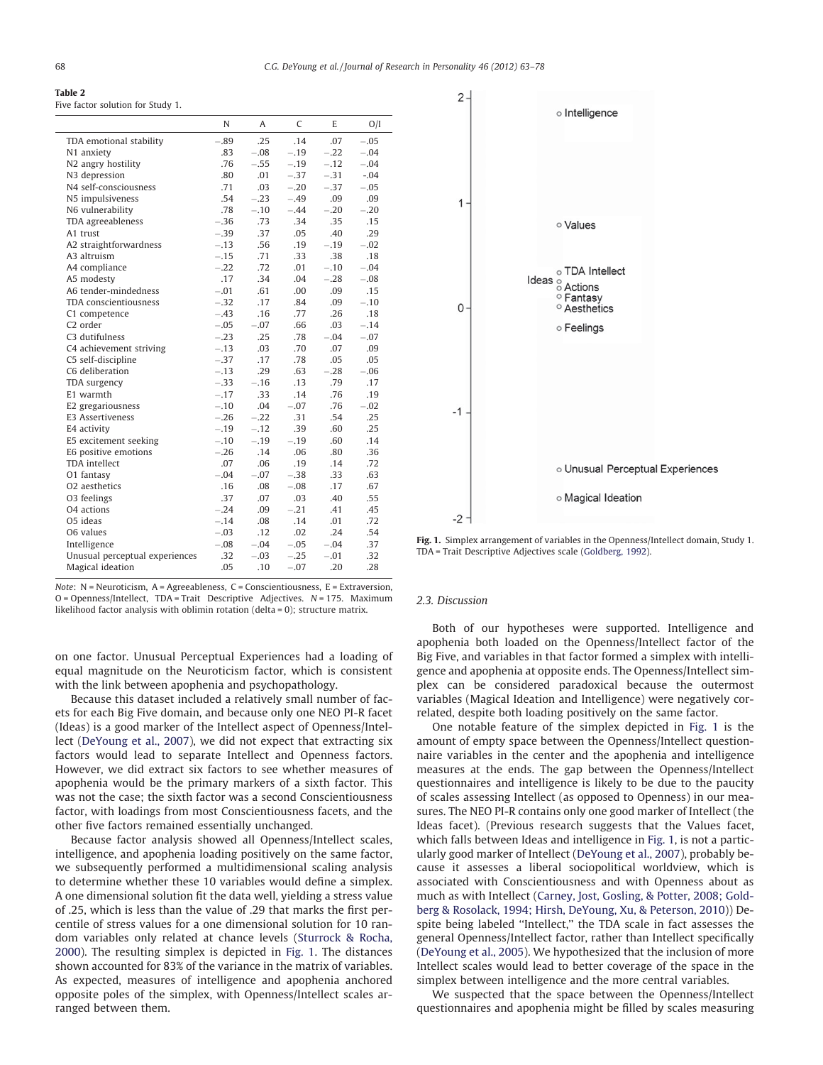| . . |  |
|-----|--|
|-----|--|

Five factor solution for Study 1.

|                                | N      | A      | C      | E      | O/I    |
|--------------------------------|--------|--------|--------|--------|--------|
| TDA emotional stability        | $-.89$ | .25    | .14    | .07    | $-.05$ |
| N1 anxiety                     | .83    | $-.08$ | $-.19$ | $-.22$ | $-.04$ |
| N2 angry hostility             | .76    | $-.55$ | $-.19$ | $-.12$ | $-.04$ |
| N3 depression                  | .80    | .01    | $-.37$ | $-.31$ | $-.04$ |
| N4 self-consciousness          | .71    | .03    | $-.20$ | $-.37$ | $-.05$ |
| N5 impulsiveness               | .54    | $-.23$ | $-.49$ | .09    | .09    |
| N6 vulnerability               | .78    | $-.10$ | $-.44$ | $-.20$ | $-.20$ |
| TDA agreeableness              | $-.36$ | .73    | .34    | .35    | .15    |
| A1 trust                       | $-.39$ | .37    | .05    | .40    | .29    |
| A2 straightforwardness         | $-.13$ | .56    | .19    | $-.19$ | $-.02$ |
| A3 altruism                    | $-.15$ | .71    | .33    | .38    | .18    |
| A4 compliance                  | $-.22$ | .72    | .01    | $-.10$ | $-.04$ |
| A5 modesty                     | .17    | .34    | .04    | $-.28$ | $-.08$ |
| A6 tender-mindedness           | $-.01$ | .61    | .00    | .09    | .15    |
| TDA conscientiousness          | $-.32$ | .17    | .84    | .09    | $-.10$ |
| C1 competence                  | $-.43$ | .16    | .77    | .26    | .18    |
| C <sub>2</sub> order           | $-.05$ | $-.07$ | .66    | .03    | $-.14$ |
| C <sub>3</sub> dutifulness     | $-.23$ | .25    | .78    | $-.04$ | $-.07$ |
| C4 achievement striving        | $-.13$ | .03    | .70    | .07    | .09    |
| C5 self-discipline             | $-.37$ | .17    | .78    | .05    | .05    |
| C6 deliberation                | $-.13$ | .29    | .63    | $-.28$ | $-.06$ |
| TDA surgency                   | $-.33$ | $-.16$ | .13    | .79    | .17    |
| E1 warmth                      | $-.17$ | .33    | .14    | .76    | .19    |
| E2 gregariousness              | $-.10$ | .04    | $-.07$ | .76    | $-.02$ |
| <b>E3 Assertiveness</b>        | $-.26$ | $-.22$ | .31    | .54    | .25    |
| E4 activity                    | $-.19$ | $-.12$ | .39    | .60    | .25    |
| E5 excitement seeking          | $-.10$ | $-.19$ | $-.19$ | .60    | .14    |
| E6 positive emotions           | $-.26$ | .14    | .06    | .80    | .36    |
| TDA intellect                  | .07    | .06    | .19    | .14    | .72    |
| 01 fantasy                     | $-.04$ | $-.07$ | $-.38$ | .33    | .63    |
| 02 aesthetics                  | .16    | .08    | $-.08$ | .17    | .67    |
| O3 feelings                    | .37    | .07    | .03    | .40    | .55    |
| O4 actions                     | $-.24$ | .09    | $-.21$ | .41    | .45    |
| O5 ideas                       | $-.14$ | .08    | .14    | .01    | .72    |
| O6 values                      | $-.03$ | .12    | .02    | .24    | .54    |
| Intelligence                   | $-.08$ | $-.04$ | $-.05$ | $-.04$ | .37    |
| Unusual perceptual experiences | .32    | $-.03$ | $-.25$ | $-.01$ | .32    |
| Magical ideation               | .05    | .10    | $-.07$ | .20    | .28    |
|                                |        |        |        |        |        |

Note: N = Neuroticism, A = Agreeableness, C = Conscientiousness, E = Extraversion,  $O =$  Openness/Intellect, TDA = Trait Descriptive Adjectives.  $N = 175$ . Maximum likelihood factor analysis with oblimin rotation (delta = 0); structure matrix.

on one factor. Unusual Perceptual Experiences had a loading of equal magnitude on the Neuroticism factor, which is consistent with the link between apophenia and psychopathology.

Because this dataset included a relatively small number of facets for each Big Five domain, and because only one NEO PI-R facet (Ideas) is a good marker of the Intellect aspect of Openness/Intellect (DeYoung et al., 2007), we did not expect that extracting six factors would lead to separate Intellect and Openness factors. However, we did extract six factors to see whether measures of apophenia would be the primary markers of a sixth factor. This was not the case; the sixth factor was a second Conscientiousness factor, with loadings from most Conscientiousness facets, and the other five factors remained essentially unchanged.

Because factor analysis showed all Openness/Intellect scales, intelligence, and apophenia loading positively on the same factor, we subsequently performed a multidimensional scaling analysis to determine whether these 10 variables would define a simplex. A one dimensional solution fit the data well, yielding a stress value of .25, which is less than the value of .29 that marks the first percentile of stress values for a one dimensional solution for 10 random variables only related at chance levels (Sturrock & Rocha, 2000). The resulting simplex is depicted in Fig. 1. The distances shown accounted for 83% of the variance in the matrix of variables. As expected, measures of intelligence and apophenia anchored opposite poles of the simplex, with Openness/Intellect scales arranged between them.



Fig. 1. Simplex arrangement of variables in the Openness/Intellect domain, Study 1. TDA = Trait Descriptive Adjectives scale (Goldberg, 1992).

# 2.3. Discussion

Both of our hypotheses were supported. Intelligence and apophenia both loaded on the Openness/Intellect factor of the Big Five, and variables in that factor formed a simplex with intelligence and apophenia at opposite ends. The Openness/Intellect simplex can be considered paradoxical because the outermost variables (Magical Ideation and Intelligence) were negatively correlated, despite both loading positively on the same factor.

One notable feature of the simplex depicted in Fig. 1 is the amount of empty space between the Openness/Intellect questionnaire variables in the center and the apophenia and intelligence measures at the ends. The gap between the Openness/Intellect questionnaires and intelligence is likely to be due to the paucity of scales assessing Intellect (as opposed to Openness) in our measures. The NEO PI-R contains only one good marker of Intellect (the Ideas facet). (Previous research suggests that the Values facet, which falls between Ideas and intelligence in Fig. 1, is not a particularly good marker of Intellect (DeYoung et al., 2007), probably because it assesses a liberal sociopolitical worldview, which is associated with Conscientiousness and with Openness about as much as with Intellect (Carney, Jost, Gosling, & Potter, 2008; Goldberg & Rosolack, 1994; Hirsh, DeYoung, Xu, & Peterson, 2010)) Despite being labeled ''Intellect,'' the TDA scale in fact assesses the general Openness/Intellect factor, rather than Intellect specifically (DeYoung et al., 2005). We hypothesized that the inclusion of more Intellect scales would lead to better coverage of the space in the simplex between intelligence and the more central variables.

We suspected that the space between the Openness/Intellect questionnaires and apophenia might be filled by scales measuring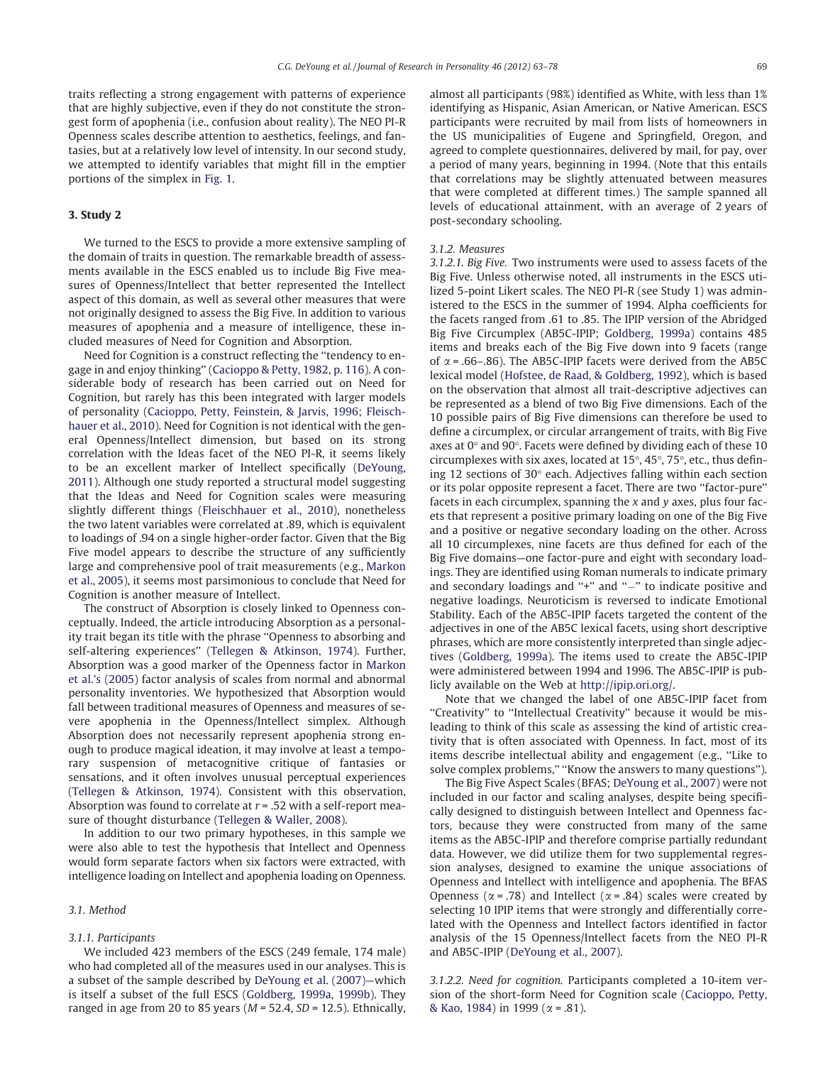traits reflecting a strong engagement with patterns of experience that are highly subjective, even if they do not constitute the strongest form of apophenia (i.e., confusion about reality). The NEO PI-R Openness scales describe attention to aesthetics, feelings, and fantasies, but at a relatively low level of intensity. In our second study, we attempted to identify variables that might fill in the emptier portions of the simplex in Fig. 1.

# 3. Study 2

We turned to the ESCS to provide a more extensive sampling of the domain of traits in question. The remarkable breadth of assessments available in the ESCS enabled us to include Big Five measures of Openness/Intellect that better represented the Intellect aspect of this domain, as well as several other measures that were not originally designed to assess the Big Five. In addition to various measures of apophenia and a measure of intelligence, these included measures of Need for Cognition and Absorption.

Need for Cognition is a construct reflecting the ''tendency to engage in and enjoy thinking'' (Cacioppo & Petty, 1982, p. 116). A considerable body of research has been carried out on Need for Cognition, but rarely has this been integrated with larger models of personality (Cacioppo, Petty, Feinstein, & Jarvis, 1996; Fleischhauer et al., 2010). Need for Cognition is not identical with the general Openness/Intellect dimension, but based on its strong correlation with the Ideas facet of the NEO PI-R, it seems likely to be an excellent marker of Intellect specifically (DeYoung, 2011). Although one study reported a structural model suggesting that the Ideas and Need for Cognition scales were measuring slightly different things (Fleischhauer et al., 2010), nonetheless the two latent variables were correlated at .89, which is equivalent to loadings of .94 on a single higher-order factor. Given that the Big Five model appears to describe the structure of any sufficiently large and comprehensive pool of trait measurements (e.g., Markon et al., 2005), it seems most parsimonious to conclude that Need for Cognition is another measure of Intellect.

The construct of Absorption is closely linked to Openness conceptually. Indeed, the article introducing Absorption as a personality trait began its title with the phrase ''Openness to absorbing and self-altering experiences'' (Tellegen & Atkinson, 1974). Further, Absorption was a good marker of the Openness factor in Markon et al.'s (2005) factor analysis of scales from normal and abnormal personality inventories. We hypothesized that Absorption would fall between traditional measures of Openness and measures of severe apophenia in the Openness/Intellect simplex. Although Absorption does not necessarily represent apophenia strong enough to produce magical ideation, it may involve at least a temporary suspension of metacognitive critique of fantasies or sensations, and it often involves unusual perceptual experiences (Tellegen & Atkinson, 1974). Consistent with this observation, Absorption was found to correlate at  $r = .52$  with a self-report measure of thought disturbance (Tellegen & Waller, 2008).

In addition to our two primary hypotheses, in this sample we were also able to test the hypothesis that Intellect and Openness would form separate factors when six factors were extracted, with intelligence loading on Intellect and apophenia loading on Openness.

# 3.1. Method

## 3.1.1. Participants

We included 423 members of the ESCS (249 female, 174 male) who had completed all of the measures used in our analyses. This is a subset of the sample described by DeYoung et al. (2007)—which is itself a subset of the full ESCS (Goldberg, 1999a, 1999b). They ranged in age from 20 to 85 years ( $M = 52.4$ ,  $SD = 12.5$ ). Ethnically, almost all participants (98%) identified as White, with less than 1% identifying as Hispanic, Asian American, or Native American. ESCS participants were recruited by mail from lists of homeowners in the US municipalities of Eugene and Springfield, Oregon, and agreed to complete questionnaires, delivered by mail, for pay, over a period of many years, beginning in 1994. (Note that this entails that correlations may be slightly attenuated between measures that were completed at different times.) The sample spanned all levels of educational attainment, with an average of 2 years of post-secondary schooling.

#### 3.1.2. Measures

3.1.2.1. Big Five. Two instruments were used to assess facets of the Big Five. Unless otherwise noted, all instruments in the ESCS utilized 5-point Likert scales. The NEO PI-R (see Study 1) was administered to the ESCS in the summer of 1994. Alpha coefficients for the facets ranged from .61 to .85. The IPIP version of the Abridged Big Five Circumplex (AB5C-IPIP; Goldberg, 1999a) contains 485 items and breaks each of the Big Five down into 9 facets (range of  $\alpha$  = .66–.86). The AB5C-IPIP facets were derived from the AB5C lexical model (Hofstee, de Raad, & Goldberg, 1992), which is based on the observation that almost all trait-descriptive adjectives can be represented as a blend of two Big Five dimensions. Each of the 10 possible pairs of Big Five dimensions can therefore be used to define a circumplex, or circular arrangement of traits, with Big Five axes at  $0^{\circ}$  and 90 $^{\circ}$ . Facets were defined by dividing each of these 10 circumplexes with six axes, located at  $15^{\circ}$ ,  $45^{\circ}$ ,  $75^{\circ}$ , etc., thus defining 12 sections of 30 $^{\circ}$  each. Adjectives falling within each section or its polar opposite represent a facet. There are two ''factor-pure'' facets in each circumplex, spanning the  $x$  and  $y$  axes, plus four facets that represent a positive primary loading on one of the Big Five and a positive or negative secondary loading on the other. Across all 10 circumplexes, nine facets are thus defined for each of the Big Five domains—one factor-pure and eight with secondary loadings. They are identified using Roman numerals to indicate primary and secondary loadings and ''+'' and ''-'' to indicate positive and negative loadings. Neuroticism is reversed to indicate Emotional Stability. Each of the AB5C-IPIP facets targeted the content of the adjectives in one of the AB5C lexical facets, using short descriptive phrases, which are more consistently interpreted than single adjectives (Goldberg, 1999a). The items used to create the AB5C-IPIP were administered between 1994 and 1996. The AB5C-IPIP is publicly available on the Web at http://ipip.ori.org/.

Note that we changed the label of one AB5C-IPIP facet from ''Creativity'' to ''Intellectual Creativity'' because it would be misleading to think of this scale as assessing the kind of artistic creativity that is often associated with Openness. In fact, most of its items describe intellectual ability and engagement (e.g., ''Like to solve complex problems," "Know the answers to many questions").

The Big Five Aspect Scales (BFAS; DeYoung et al., 2007) were not included in our factor and scaling analyses, despite being specifically designed to distinguish between Intellect and Openness factors, because they were constructed from many of the same items as the AB5C-IPIP and therefore comprise partially redundant data. However, we did utilize them for two supplemental regression analyses, designed to examine the unique associations of Openness and Intellect with intelligence and apophenia. The BFAS Openness ( $\alpha$  = .78) and Intellect ( $\alpha$  = .84) scales were created by selecting 10 IPIP items that were strongly and differentially correlated with the Openness and Intellect factors identified in factor analysis of the 15 Openness/Intellect facets from the NEO PI-R and AB5C-IPIP (DeYoung et al., 2007).

3.1.2.2. Need for cognition. Participants completed a 10-item version of the short-form Need for Cognition scale (Cacioppo, Petty, & Kao, 1984) in 1999 ( $\alpha$  = .81).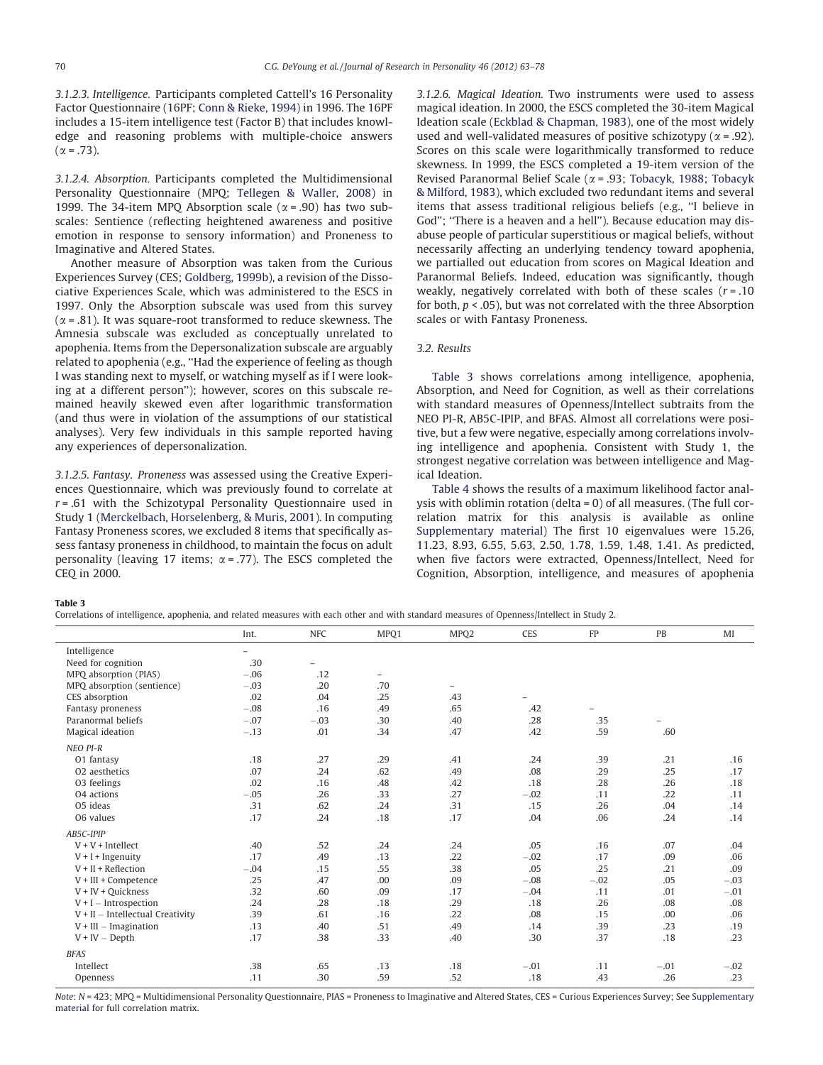3.1.2.3. Intelligence. Participants completed Cattell's 16 Personality Factor Questionnaire (16PF; Conn & Rieke, 1994) in 1996. The 16PF includes a 15-item intelligence test (Factor B) that includes knowledge and reasoning problems with multiple-choice answers  $(\alpha = .73)$ .

3.1.2.4. Absorption. Participants completed the Multidimensional Personality Questionnaire (MPQ; Tellegen & Waller, 2008) in 1999. The 34-item MPQ Absorption scale ( $\alpha$  = .90) has two subscales: Sentience (reflecting heightened awareness and positive emotion in response to sensory information) and Proneness to Imaginative and Altered States.

Another measure of Absorption was taken from the Curious Experiences Survey (CES; Goldberg, 1999b), a revision of the Dissociative Experiences Scale, which was administered to the ESCS in 1997. Only the Absorption subscale was used from this survey  $(\alpha = .81)$ . It was square-root transformed to reduce skewness. The Amnesia subscale was excluded as conceptually unrelated to apophenia. Items from the Depersonalization subscale are arguably related to apophenia (e.g., ''Had the experience of feeling as though I was standing next to myself, or watching myself as if I were looking at a different person''); however, scores on this subscale remained heavily skewed even after logarithmic transformation (and thus were in violation of the assumptions of our statistical analyses). Very few individuals in this sample reported having any experiences of depersonalization.

3.1.2.5. Fantasy. Proneness was assessed using the Creative Experiences Questionnaire, which was previously found to correlate at  $r = .61$  with the Schizotypal Personality Questionnaire used in Study 1 (Merckelbach, Horselenberg, & Muris, 2001). In computing Fantasy Proneness scores, we excluded 8 items that specifically assess fantasy proneness in childhood, to maintain the focus on adult personality (leaving 17 items;  $\alpha$  = .77). The ESCS completed the CEQ in 2000.

3.1.2.6. Magical Ideation. Two instruments were used to assess magical ideation. In 2000, the ESCS completed the 30-item Magical Ideation scale (Eckblad & Chapman, 1983), one of the most widely used and well-validated measures of positive schizotypy ( $\alpha$  = .92). Scores on this scale were logarithmically transformed to reduce skewness. In 1999, the ESCS completed a 19-item version of the Revised Paranormal Belief Scale ( $\alpha$  = .93; Tobacyk, 1988; Tobacyk & Milford, 1983), which excluded two redundant items and several items that assess traditional religious beliefs (e.g., ''I believe in God"; "There is a heaven and a hell"). Because education may disabuse people of particular superstitious or magical beliefs, without necessarily affecting an underlying tendency toward apophenia, we partialled out education from scores on Magical Ideation and Paranormal Beliefs. Indeed, education was significantly, though weakly, negatively correlated with both of these scales  $(r = .10)$ for both,  $p < .05$ ), but was not correlated with the three Absorption scales or with Fantasy Proneness.

# 3.2. Results

Table 3 shows correlations among intelligence, apophenia, Absorption, and Need for Cognition, as well as their correlations with standard measures of Openness/Intellect subtraits from the NEO PI-R, AB5C-IPIP, and BFAS. Almost all correlations were positive, but a few were negative, especially among correlations involving intelligence and apophenia. Consistent with Study 1, the strongest negative correlation was between intelligence and Magical Ideation.

Table 4 shows the results of a maximum likelihood factor analysis with oblimin rotation (delta = 0) of all measures. (The full correlation matrix for this analysis is available as online Supplementary material) The first 10 eigenvalues were 15.26, 11.23, 8.93, 6.55, 5.63, 2.50, 1.78, 1.59, 1.48, 1.41. As predicted, when five factors were extracted, Openness/Intellect, Need for Cognition, Absorption, intelligence, and measures of apophenia

Table 3

| Correlations of intelligence, apophenia, and related measures with each other and with standard measures of Openness/Intellect in Study 2. |  |  |  |
|--------------------------------------------------------------------------------------------------------------------------------------------|--|--|--|
|                                                                                                                                            |  |  |  |

|                                    | Int.   | <b>NFC</b> | MPO1                     | MPO <sub>2</sub>         | CES    | FP     | PB     | MI     |
|------------------------------------|--------|------------|--------------------------|--------------------------|--------|--------|--------|--------|
| Intelligence                       |        |            |                          |                          |        |        |        |        |
| Need for cognition                 | .30    |            |                          |                          |        |        |        |        |
| MPO absorption (PIAS)              | $-.06$ | .12        | $\overline{\phantom{a}}$ |                          |        |        |        |        |
| MPO absorption (sentience)         | $-.03$ | .20        | .70                      | $\overline{\phantom{0}}$ |        |        |        |        |
| CES absorption                     | .02    | .04        | .25                      | .43                      |        |        |        |        |
| Fantasy proneness                  | $-.08$ | .16        | .49                      | .65                      | .42    |        |        |        |
| Paranormal beliefs                 | $-.07$ | $-.03$     | .30                      | .40                      | .28    | .35    |        |        |
| Magical ideation                   | $-.13$ | .01        | .34                      | .47                      | .42    | .59    | .60    |        |
| NEO PI-R                           |        |            |                          |                          |        |        |        |        |
| O1 fantasy                         | .18    | .27        | .29                      | .41                      | .24    | .39    | .21    | .16    |
| O2 aesthetics                      | .07    | .24        | .62                      | .49                      | .08    | .29    | .25    | .17    |
| O3 feelings                        | .02    | .16        | .48                      | .42                      | .18    | .28    | .26    | .18    |
| O4 actions                         | $-.05$ | .26        | .33                      | .27                      | $-.02$ | .11    | .22    | .11    |
| O5 ideas                           | .31    | .62        | .24                      | .31                      | .15    | .26    | .04    | .14    |
| O6 values                          | .17    | .24        | .18                      | .17                      | .04    | .06    | .24    | .14    |
| AB5C-IPIP                          |        |            |                          |                          |        |        |        |        |
| $V + V + Intellect$                | .40    | .52        | .24                      | .24                      | .05    | .16    | .07    | .04    |
| $V + I + Ingenuity$                | .17    | .49        | .13                      | .22                      | $-.02$ | .17    | .09    | .06    |
| $V + II + Reflection$              | $-.04$ | .15        | .55                      | .38                      | .05    | .25    | .21    | .09    |
| $V + III + Competence$             | .25    | .47        | .00                      | .09                      | $-.08$ | $-.02$ | .05    | $-.03$ |
| $V + IV + Quickness$               | .32    | .60        | .09                      | .17                      | $-.04$ | .11    | .01    | $-.01$ |
| $V + I - Introspection$            | .24    | .28        | .18                      | .29                      | .18    | .26    | .08    | .08    |
| $V + II$ – Intellectual Creativity | .39    | .61        | .16                      | .22                      | .08    | .15    | .00    | .06    |
| $V + III - Imagination$            | .13    | .40        | .51                      | .49                      | .14    | .39    | .23    | .19    |
| $V + IV - Depth$                   | .17    | .38        | .33                      | .40                      | .30    | .37    | .18    | .23    |
| <b>BFAS</b>                        |        |            |                          |                          |        |        |        |        |
| Intellect                          | .38    | .65        | .13                      | .18                      | $-.01$ | .11    | $-.01$ | $-.02$ |
| Openness                           | .11    | .30        | .59                      | .52                      | .18    | .43    | .26    | .23    |

Note: N = 423; MPQ = Multidimensional Personality Questionnaire, PIAS = Proneness to Imaginative and Altered States, CES = Curious Experiences Survey; See Supplementary material for full correlation matrix.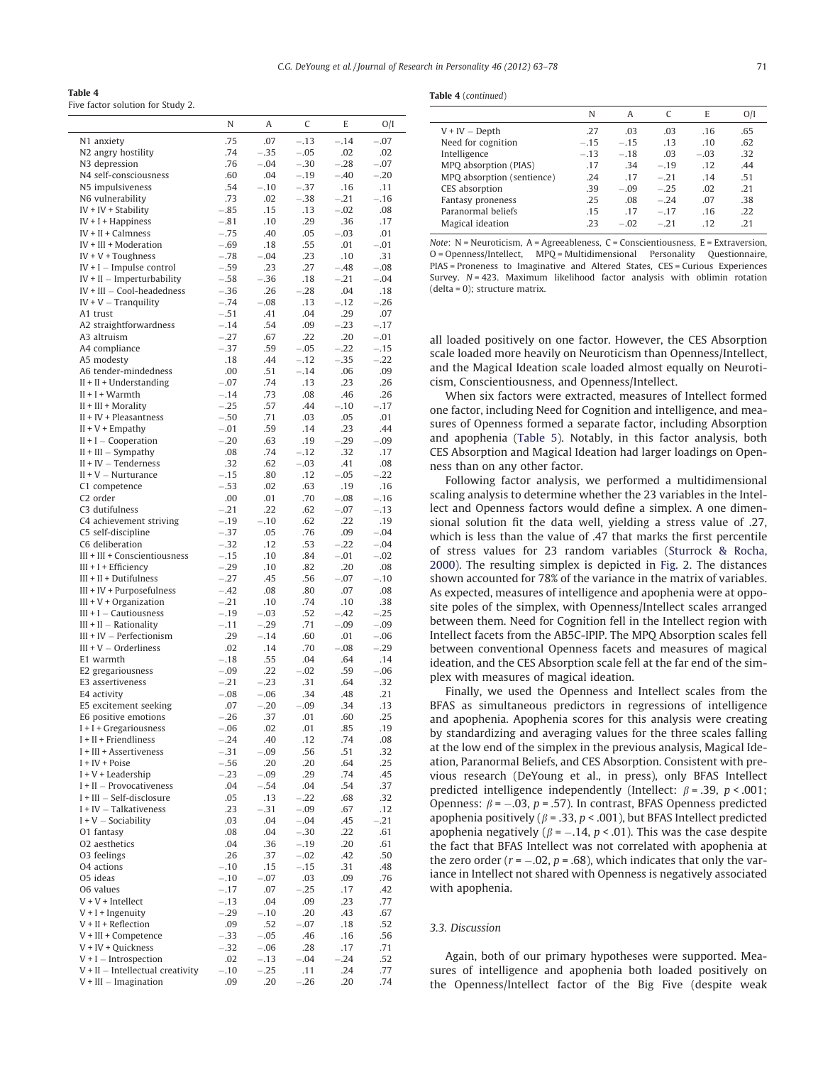| Table 4                           |  |  |
|-----------------------------------|--|--|
| Five factor solution for Study 2. |  |  |

|                                                         | N                | Α                | C                | E                | O/I              |
|---------------------------------------------------------|------------------|------------------|------------------|------------------|------------------|
| N1 anxiety                                              | .75              | .07              | $-.13$           | $-.14$           | $-.07$           |
| N2 angry hostility                                      | .74              | $-.35$           | $-.05$           | .02              | .02              |
| N3 depression                                           | .76              | $-.04$           | $-.30$           | $-.28$           | $-.07$           |
| N4 self-consciousness<br>N5 impulsiveness               | .60<br>.54       | .04<br>$-.10$    | $-.19$<br>$-.37$ | $-.40$<br>.16    | $-.20$<br>.11    |
| N6 vulnerability                                        | .73              | .02              | $-.38$           | $-.21$           | $-.16$           |
| $IV + IV + Stability$                                   | $-.85$           | .15              | .13              | $-.02$           | .08              |
| $IV + I + Happiness$                                    | $-.81$           | .10              | .29              | .36              | .17              |
| $IV + II + Calmness$<br>IV + III + Moderation           | $-.75$<br>$-.69$ | .40<br>.18       | .05<br>.55       | $-.03$<br>.01    | .01<br>$-.01$    |
| $IV + V + Toughness$                                    | $-.78$           | $-.04$           | .23              | .10              | .31              |
| $IV + I - Impulse control$                              | $-.59$           | .23              | .27              | $-.48$           | $-.08$           |
| $IV + II - Imperturbability$                            | $-.58$           | $-.36$           | .18              | $-.21$           | $-.04$           |
| $IV + III - Cool-headedness$                            | $-.36$           | .26              | $-.28$           | .04              | .18              |
| $IV + V - Tranquility$<br>A1 trust                      | $-.74$<br>$-.51$ | $-.08$<br>.41    | .13<br>.04       | $-.12$<br>.29    | $-.26$<br>.07    |
| A2 straightforwardness                                  | $-.14$           | .54              | .09              | $-.23$           | $-.17$           |
| A3 altruism                                             | $-.27$           | .67              | .22              | .20              | $-.01$           |
| A4 compliance                                           | $-.37$           | .59              | $-.05$           | $-.22$           | $-.15$           |
| A5 modesty<br>A6 tender-mindedness                      | .18<br>.00       | .44<br>.51       | $-.12$<br>$-.14$ | $-.35$<br>.06    | $-.22$<br>.09    |
| $II + II + Understanding$                               | $-.07$           | .74              | .13              | .23              | .26              |
| II + I + Warmth                                         | $-.14$           | .73              | .08              | .46              | .26              |
| $II + III + Morality$                                   | $-.25$           | .57              | .44              | $-.10$           | $-.17$           |
| $II + IV + Pleasantness$                                | $-.50$           | .71              | .03              | .05              | .01              |
| $II + V + Empathy$<br>$II + I - Cooperation$            | $-.01$<br>$-.20$ | .59<br>.63       | .14<br>.19       | .23<br>$-.29$    | .44<br>$-.09$    |
| $II + III - Sympathy$                                   | .08              | .74              | $-.12$           | .32              | .17              |
| $II + IV - T$ enderness                                 | .32              | .62              | $-.03$           | .41              | .08              |
| $II + V - Nurturance$                                   | $-.15$           | .80              | .12              | $-.05$           | $-.22$           |
| C1 competence<br>C <sub>2</sub> order                   | $-.53$<br>.00    | .02<br>.01       | .63<br>.70       | .19<br>$-.08$    | .16<br>$-.16$    |
| C3 dutifulness                                          | $-.21$           | .22              | .62              | $-.07$           | $-.13$           |
| C4 achievement striving                                 | $-.19$           | $-.10$           | .62              | .22              | .19              |
| C5 self-discipline                                      | $-.37$           | .05              | .76              | .09              | $-.04$           |
| C6 deliberation                                         | $-.32$           | .12              | .53              | $-.22$           | $-.04$           |
| III + III + Conscientiousness<br>$III + I + Efficiency$ | $-.15$<br>$-.29$ | .10<br>.10       | .84<br>.82       | $-.01$<br>.20    | $-.02$<br>.08    |
| $III + II + Dutifulness$                                | $-.27$           | .45              | .56              | $-.07$           | $-.10$           |
| $III + IV + Purposefulness$                             | $-.42$           | .08              | .80              | .07              | .08              |
| $III + V + Organization$                                | $-.21$           | .10              | .74              | .10              | .38              |
| $III + I - Cautiousness$<br>$III + II - Rationality$    | $-.19$<br>$-.11$ | $-.03$<br>$-.29$ | .52<br>.71       | $-.42$<br>$-.09$ | $-.25$<br>$-.09$ |
| $III + IV - Perfectionism$                              | .29              | $-.14$           | .60              | .01              | $-.06$           |
| $III + V - Orderlines$                                  | .02              | .14              | .70              | $-.08$           | $-.29$           |
| E1 warmth                                               | $-.18$           | .55              | .04              | .64              | .14              |
| E2 gregariousness<br>E3 assertiveness                   | $-.09$<br>$-.21$ | .22<br>$-.23$    | $-.02$<br>.31    | .59<br>.64       | $-.06$<br>.32    |
| E4 activity                                             | $-.08$           | $-.06$           | .34              | .48              | .21              |
| E5 excitement seeking                                   | .07              | $-.20$           | $-.09$           | .34              | .13              |
| E6 positive emotions                                    | $-.26$           | .37              | .01              | .60              | .25              |
| I + I + Gregariousness<br>I + II + Friendliness         | $-.06$<br>$-.24$ | .02<br>.40       | .01<br>.12       | .85<br>.74       | .19<br>.08       |
| I + III + Assertiveness                                 | $-.31$           | $-.09$           | .56              | .51              | .32              |
| I + IV + Poise                                          | $-.56$           | .20              | .20              | .64              | .25              |
| I + V + Leadership                                      | $-.23$           | $-.09$           | .29              | .74              | .45              |
| $I + II - Provocativeness$                              | .04              | $-.54$           | .04              | .54              | .37              |
| I + III - Self-disclosure<br>I + IV - Talkativeness     | .05<br>.23       | .13<br>$-.31$    | $-.22$<br>$-.09$ | .68<br>.67       | .32<br>.12       |
| $I + V - Socialblity$                                   | .03              | .04              | $-.04$           | .45              | $-.21$           |
| O1 fantasy                                              | .08              | .04              | $-.30$           | .22              | .61              |
| 02 aesthetics                                           | .04              | .36              | $-.19$           | .20              | .61              |
| O3 feelings<br>04 actions                               | .26<br>$-.10$    | .37<br>.15       | $-.02$<br>$-.15$ | .42<br>.31       | .50<br>.48       |
| O5 ideas                                                | $-.10$           | $-.07$           | .03              | .09              | .76              |
| 06 values                                               | $-.17$           | .07              | $-.25$           | .17              | .42              |
| $V + V + Inteller$                                      | $-.13$           | .04              | .09              | .23              | .77              |
| $V + I + Ingenuity$                                     | $-.29$           | $-.10$           | .20              | .43              | .67              |
| $V + II + Reflection$<br>V + III + Competence           | .09<br>$-.33$    | .52<br>$-.05$    | $-.07$<br>.46    | .18<br>.16       | .52<br>.56       |
| $V + IV + Quickness$                                    | $-.32$           | $-.06$           | .28              | .17              | .71              |
| $V + I - Introspection$                                 | .02              | $-.13$           | $-.04$           | $-.24$           | .52              |
| $V + II$ – Intellectual creativity                      | $-.10$           | $-.25$           | .11              | .24              | .77              |
| $V + III - Imagination$                                 | .09              | .20              | $-.26$           | .20              | .74              |

|                            | N      | Α      |        | E      | O/I |
|----------------------------|--------|--------|--------|--------|-----|
| $V + IV - Depth$           | .27    | .03    | .03    | .16    | .65 |
| Need for cognition         | $-.15$ | $-.15$ | .13    | .10    | .62 |
| Intelligence               | $-.13$ | $-.18$ | .03    | $-.03$ | .32 |
| MPO absorption (PIAS)      | .17    | .34    | $-.19$ | .12    | .44 |
| MPO absorption (sentience) | .24    | .17    | $-.21$ | .14    | .51 |
| CES absorption             | .39    | $-.09$ | $-.25$ | .02    | .21 |
| Fantasy proneness          | .25    | .08    | $-.24$ | .07    | .38 |
| Paranormal beliefs         | .15    | .17    | $-.17$ | .16    | .22 |
| Magical ideation           | .23    | $-.02$ | $-21$  | .12    | .21 |

Note: N = Neuroticism, A = Agreeableness, C = Conscientiousness, E = Extraversion, O = Openness/Intellect, MPQ = Multidimensional Personality Questionnaire, PIAS = Proneness to Imaginative and Altered States, CES = Curious Experiences Survey.  $N = 423$ . Maximum likelihood factor analysis with oblimin rotation (delta = 0); structure matrix.

all loaded positively on one factor. However, the CES Absorption scale loaded more heavily on Neuroticism than Openness/Intellect, and the Magical Ideation scale loaded almost equally on Neuroticism, Conscientiousness, and Openness/Intellect.

When six factors were extracted, measures of Intellect formed one factor, including Need for Cognition and intelligence, and measures of Openness formed a separate factor, including Absorption and apophenia (Table 5). Notably, in this factor analysis, both CES Absorption and Magical Ideation had larger loadings on Openness than on any other factor.

Following factor analysis, we performed a multidimensional scaling analysis to determine whether the 23 variables in the Intellect and Openness factors would define a simplex. A one dimensional solution fit the data well, yielding a stress value of .27, which is less than the value of .47 that marks the first percentile of stress values for 23 random variables (Sturrock & Rocha, 2000). The resulting simplex is depicted in Fig. 2. The distances shown accounted for 78% of the variance in the matrix of variables. As expected, measures of intelligence and apophenia were at opposite poles of the simplex, with Openness/Intellect scales arranged between them. Need for Cognition fell in the Intellect region with Intellect facets from the AB5C-IPIP. The MPQ Absorption scales fell between conventional Openness facets and measures of magical ideation, and the CES Absorption scale fell at the far end of the simplex with measures of magical ideation.

Finally, we used the Openness and Intellect scales from the BFAS as simultaneous predictors in regressions of intelligence and apophenia. Apophenia scores for this analysis were creating by standardizing and averaging values for the three scales falling at the low end of the simplex in the previous analysis, Magical Ideation, Paranormal Beliefs, and CES Absorption. Consistent with previous research (DeYoung et al., in press), only BFAS Intellect predicted intelligence independently (Intellect:  $\beta$  = .39, p < .001; Openness:  $\beta$  = -.03,  $p$  = .57). In contrast, BFAS Openness predicted apophenia positively ( $\beta$  = .33,  $p$  < .001), but BFAS Intellect predicted apophenia negatively ( $\beta$  =  $-$ .14,  $p$  < .01). This was the case despite the fact that BFAS Intellect was not correlated with apophenia at the zero order ( $r = -.02$ ,  $p = .68$ ), which indicates that only the variance in Intellect not shared with Openness is negatively associated with apophenia.

# 3.3. Discussion

Again, both of our primary hypotheses were supported. Measures of intelligence and apophenia both loaded positively on the Openness/Intellect factor of the Big Five (despite weak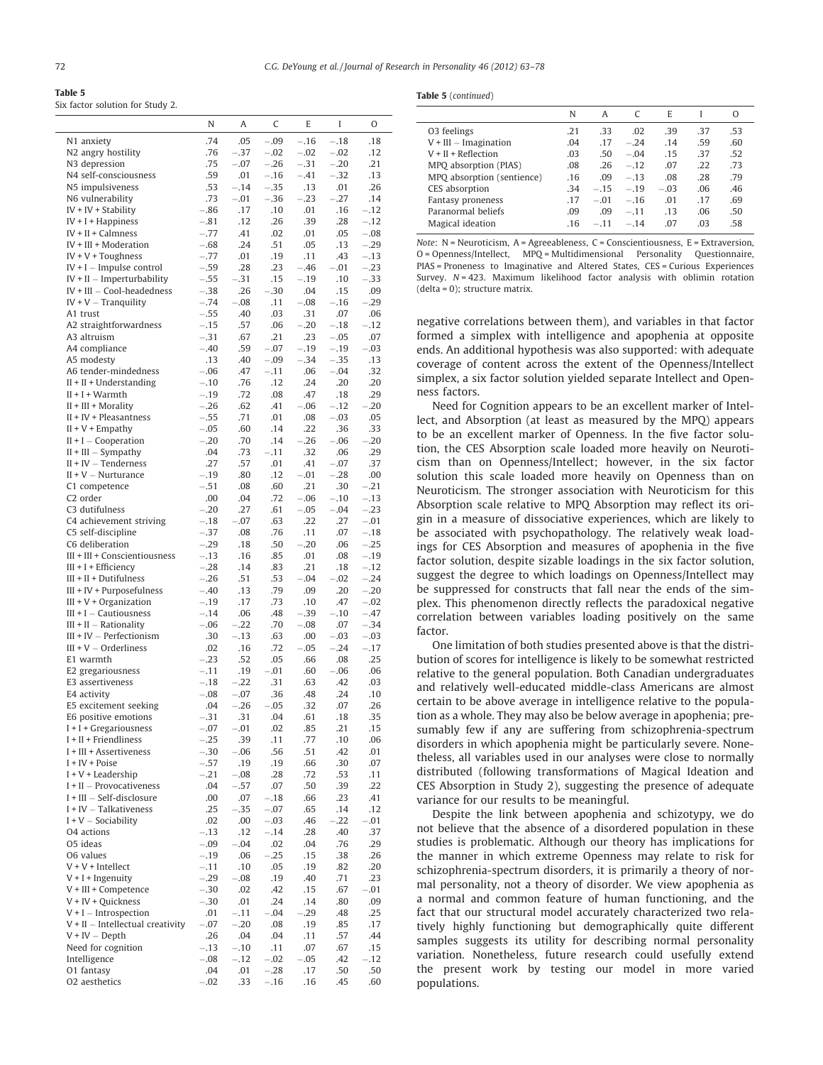#### Table 5

Six factor solution for Study 2.

|                                                              | N                | Α                | C                | E                | I                | 0                |
|--------------------------------------------------------------|------------------|------------------|------------------|------------------|------------------|------------------|
| N1 anxiety                                                   | .74              | .05              | $-.09$           | $-.16$           | $-.18$           | .18              |
| N2 angry hostility                                           | .76              | $-.37$           | $-.02$           | $-.02$           | $-.02$           | .12              |
| N3 depression                                                | .75              | $-.07$           | $-.26$           | $-.31$           | $-.20$           | .21              |
| N4 self-consciousness                                        | .59              | .01              | $-.16$           | $-.41$           | $-.32$           | .13              |
| N5 impulsiveness<br>N6 vulnerability                         | .53<br>.73       | $-.14$<br>$-.01$ | $-.35$<br>$-.36$ | .13<br>$-.23$    | .01<br>$-.27$    | .26<br>.14       |
| $IV + IV + Stability$                                        | $-.86$           | .17              | .10              | .01              | .16              | $-.12$           |
| $IV + I + Happiness$                                         | $-.81$           | .12              | .26              | .39              | .28              | $-.12$           |
| $IV + II + Calmness$                                         | $-.77$           | .41              | .02              | .01              | .05              | $-.08$           |
| IV + III + Moderation                                        | $-.68$           | .24              | .51              | .05              | .13              | $-.29$           |
| $IV + V + Toughness$                                         | $-.77$           | .01              | .19              | .11              | .43              | $-.13$           |
| $IV + I - Impulse control$                                   | $-.59$           | .28              | .23              | $-.46$           | $-.01$           | $-.23$           |
| $IV + II - Imperturbability$<br>$IV + III - Cool-headedness$ | $-.55$<br>$-.38$ | $-.31$<br>.26    | .15<br>$-.30$    | $-.19$<br>.04    | .10<br>.15       | $-.33$<br>.09    |
| $IV + V - Tranquility$                                       | $-.74$           | $-.08$           | .11              | $-.08$           | $-.16$           | $-.29$           |
| A1 trust                                                     | $-.55$           | .40              | .03              | .31              | .07              | .06              |
| A2 straightforwardness                                       | $-.15$           | .57              | .06              | $-.20$           | $-.18$           | $-.12$           |
| A3 altruism                                                  | $-.31$           | .67              | .21              | .23              | $-.05$           | .07              |
| A4 compliance                                                | $-.40$           | .59              | $-.07$           | $-.19$           | $-.19$           | $-.03$           |
| A5 modesty<br>A6 tender-mindedness                           | .13<br>$-.06$    | .40<br>.47       | $-.09$<br>$-.11$ | $-.34$<br>.06    | $-.35$<br>$-.04$ | .13<br>.32       |
| $II + II + Understanding$                                    | $-.10$           | .76              | .12              | .24              | .20              | .20              |
| $II + I + Warmth$                                            | $-.19$           | .72              | .08              | .47              | .18              | .29              |
| $II + III + Morality$                                        | $-.26$           | .62              | .41              | $-.06$           | $-.12$           | $-.20$           |
| $II + IV + Pleasantness$                                     | $-.55$           | .71              | .01              | .08              | $-.03$           | .05              |
| $II + V + Empathy$                                           | $-.05$           | .60              | .14              | .22              | .36              | .33              |
| $II + I - Cooperation$                                       | $-.20$           | .70              | .14              | $-.26$           | $-.06$           | $-.20$           |
| $II + III - Sympathy$<br>$II + IV - T$ enderness             | .04<br>.27       | .73<br>.57       | $-.11$<br>.01    | .32<br>.41       | .06<br>$-.07$    | .29<br>.37       |
| $II + V - Nurturance$                                        | $-.19$           | .80              | .12              | $-.01$           | $-.28$           | .00              |
| C1 competence                                                | $-.51$           | .08              | .60              | .21              | .30              | $-.21$           |
| C <sub>2</sub> order                                         | .00.             | .04              | .72              | $-.06$           | $-.10$           | $-.13$           |
| C3 dutifulness                                               | $-.20$           | .27              | .61              | $-.05$           | $-.04$           | $-.23$           |
| C4 achievement striving                                      | $-.18$           | $-.07$           | .63              | .22              | .27              | $-.01$           |
| C5 self-discipline<br>C6 deliberation                        | $-.37$<br>$-.29$ | .08<br>.18       | .76<br>.50       | .11<br>$-.20$    | .07<br>.06       | $-.18$<br>$-.25$ |
| III + III + Conscientiousness                                | $-.13$           | .16              | .85              | .01              | .08              | $-.19$           |
| III + I + Efficiency                                         | $-.28$           | .14              | .83              | .21              | .18              | $-.12$           |
| $III + II + Dutifulness$                                     | $-.26$           | .51              | .53              | $-.04$           | $-.02$           | $-.24$           |
| $III + IV + Purposefulness$                                  | $-.40$           | .13              | .79              | .09              | .20              | $-.20$           |
| $III + V + Organization$                                     | $-.19$           | .17              | .73              | .10              | .47              | $-.02$           |
| $III + I - Cautiousness$<br>$III + II - Rationality$         | $-.14$<br>$-.06$ | .06<br>$-.22$    | .48<br>.70       | $-.39$<br>$-.08$ | $-.10$<br>.07    | $-.47$<br>$-.34$ |
| $III + IV - Perfectionism$                                   | .30              | $-.13$           | .63              | .00              | $-.03$           | $-.03$           |
| $III + V - Orderlines$                                       | .02              | .16              | .72              | $-.05$           | $-.24$           | $-.17$           |
| E1 warmth                                                    | $-.23$           | .52              | .05              | .66              | .08              | .25              |
| E2 gregariousness                                            | $-.11$           | .19              | $-.01$           | .60              | $-.06$           | .06              |
| E3 assertiveness                                             | $-.18$           | $-.22$           | .31              | .63              | .42              | .03              |
| E4 activity                                                  | $-.08$           | $-.07$           | .36              | .48              | .24              | .10              |
| E5 excitement seeking<br>E6 positive emotions                | .04<br>$-.31$    | $-.26$<br>.31    | $-.05$<br>.04    | .32<br>.61       | .07<br>.18       | .26<br>.35       |
| $I + I + Gregariousness$                                     | $-.07$           | $-.01$           | .02              | .85              | .21              | .15              |
| I + II + Friendliness                                        | $-.25$           | .39              | .11              | .77              | .10              | .06              |
| I + III + Assertiveness                                      | $-.30$           | $-.06$           | .56              | .51              | .42              | .01              |
| $I + IV + Poise$                                             | $-.57$           | .19              | .19              | .66              | .30              | .07              |
| I + V + Leadership                                           | $-.21$           | $-.08$           | .28              | .72              | .53              | .11              |
| $I + II - Provocativeness$<br>I + III - Self-disclosure      | .04<br>.00       | $-.57$<br>.07    | .07<br>$-.18$    | .50<br>.66       | .39<br>.23       | .22<br>.41       |
| $I + IV - Tallativeness$                                     | .25              | $-.35$           | $-.07$           | .65              | .14              | .12              |
| $I + V - Socialblity$                                        | .02              | .00              | $-.03$           | .46              | $-.22$           | $-.01$           |
| 04 actions                                                   | $-.13$           | .12              | $-.14$           | .28              | .40              | .37              |
| O5 ideas                                                     | $-.09$           | $-.04$           | .02              | .04              | .76              | .29              |
| 06 values                                                    | $-.19$           | .06              | $-.25$           | .15              | .38              | .26              |
| $V + V +$ Intellect<br>$V + I + Ingenuity$                   | $-.11$<br>$-.29$ | .10<br>$-.08$    | .05<br>.19       | .19<br>.40       | .82<br>.71       | .20<br>.23       |
| V + III + Competence                                         | $-.30$           | .02              | .42              | .15              | .67              | $-.01$           |
| V + IV + Quickness                                           | $-.30$           | .01              | .24              | .14              | .80              | .09              |
| $V + I - Introspection$                                      | .01              | $-.11$           | $-.04$           | $-.29$           | .48              | .25              |
| $V + II$ – Intellectual creativity                           | $-.07$           | $-.20$           | .08              | .19              | .85              | .17              |
| $V + IV - Depth$                                             | .26              | .04              | .04              | .11              | .57              | .44              |
| Need for cognition<br>Intelligence                           | $-.13$<br>$-.08$ | $-.10$<br>$-.12$ | .11<br>$-.02$    | .07<br>$-.05$    | .67<br>.42       | .15<br>$-.12$    |
| O1 fantasy                                                   | .04              | .01              | $-.28$           | .17              | .50              | .50              |
| 02 aesthetics                                                | $-.02$           | .33              | $-.16$           | .16              | .45              | .60              |

Table 5 (continued)

|                            | N   | Α      |        | E      |     |     |
|----------------------------|-----|--------|--------|--------|-----|-----|
| 03 feelings                | .21 | .33    | .02    | .39    | .37 | .53 |
| $V + III - Imagination$    | .04 | .17    | $-.24$ | .14    | .59 | .60 |
| $V + II + Reflection$      | .03 | .50    | $-.04$ | .15    | .37 | .52 |
| MPQ absorption (PIAS)      | .08 | .26    | $-.12$ | .07    | .22 | .73 |
| MPQ absorption (sentience) | .16 | .09    | $-.13$ | .08    | .28 | .79 |
| CES absorption             | .34 | $-.15$ | $-.19$ | $-.03$ | .06 | .46 |
| Fantasy proneness          | .17 | $-.01$ | $-.16$ | .01    | .17 | .69 |
| Paranormal beliefs         | .09 | .09    | $-.11$ | .13    | .06 | .50 |
| Magical ideation           | .16 | $-11$  | $-14$  | .07    | .03 | .58 |
|                            |     |        |        |        |     |     |

Note: N = Neuroticism, A = Agreeableness, C = Conscientiousness, E = Extraversion, O = Openness/Intellect, MPQ = Multidimensional Personality Questionnaire, PIAS = Proneness to Imaginative and Altered States, CES = Curious Experiences Survey.  $N = 423$ . Maximum likelihood factor analysis with oblimin rotation (delta = 0); structure matrix.

negative correlations between them), and variables in that factor formed a simplex with intelligence and apophenia at opposite ends. An additional hypothesis was also supported: with adequate coverage of content across the extent of the Openness/Intellect simplex, a six factor solution yielded separate Intellect and Openness factors.

Need for Cognition appears to be an excellent marker of Intellect, and Absorption (at least as measured by the MPQ) appears to be an excellent marker of Openness. In the five factor solution, the CES Absorption scale loaded more heavily on Neuroticism than on Openness/Intellect; however, in the six factor solution this scale loaded more heavily on Openness than on Neuroticism. The stronger association with Neuroticism for this Absorption scale relative to MPQ Absorption may reflect its origin in a measure of dissociative experiences, which are likely to be associated with psychopathology. The relatively weak loadings for CES Absorption and measures of apophenia in the five factor solution, despite sizable loadings in the six factor solution, suggest the degree to which loadings on Openness/Intellect may be suppressed for constructs that fall near the ends of the simplex. This phenomenon directly reflects the paradoxical negative correlation between variables loading positively on the same factor.

One limitation of both studies presented above is that the distribution of scores for intelligence is likely to be somewhat restricted relative to the general population. Both Canadian undergraduates and relatively well-educated middle-class Americans are almost certain to be above average in intelligence relative to the population as a whole. They may also be below average in apophenia; presumably few if any are suffering from schizophrenia-spectrum disorders in which apophenia might be particularly severe. Nonetheless, all variables used in our analyses were close to normally distributed (following transformations of Magical Ideation and CES Absorption in Study 2), suggesting the presence of adequate variance for our results to be meaningful.

Despite the link between apophenia and schizotypy, we do not believe that the absence of a disordered population in these studies is problematic. Although our theory has implications for the manner in which extreme Openness may relate to risk for schizophrenia-spectrum disorders, it is primarily a theory of normal personality, not a theory of disorder. We view apophenia as a normal and common feature of human functioning, and the fact that our structural model accurately characterized two relatively highly functioning but demographically quite different samples suggests its utility for describing normal personality variation. Nonetheless, future research could usefully extend the present work by testing our model in more varied populations.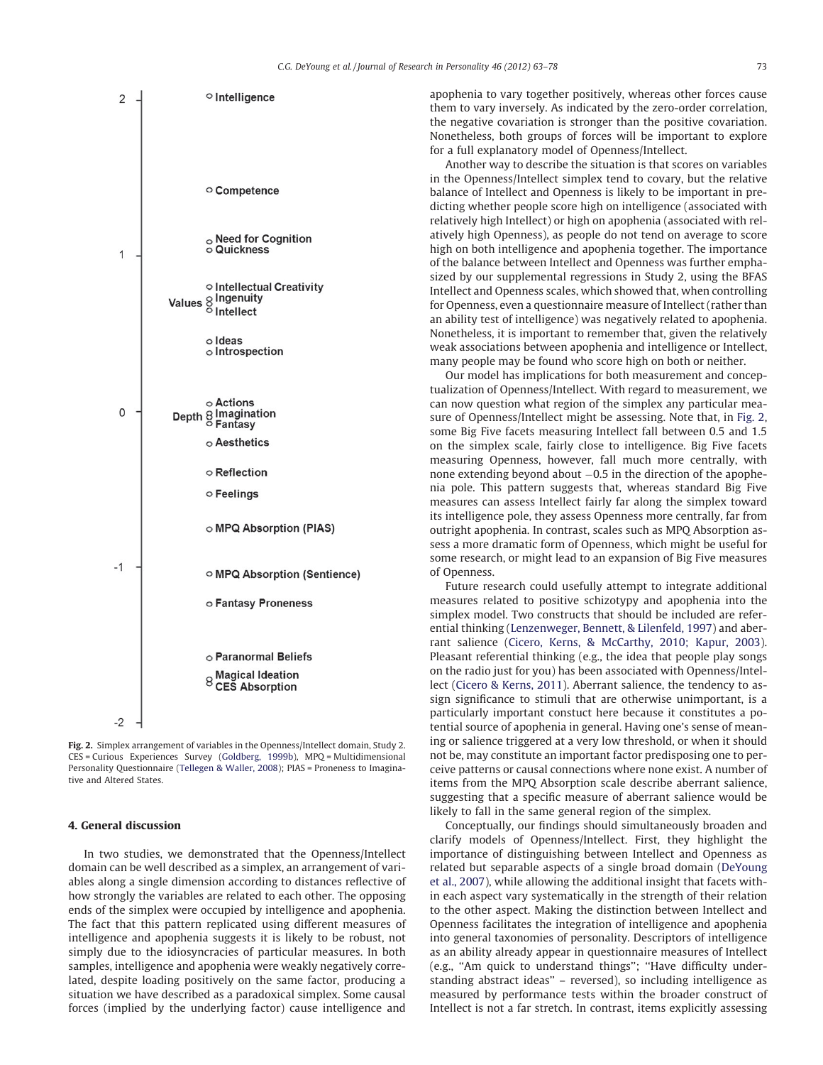

Fig. 2. Simplex arrangement of variables in the Openness/Intellect domain, Study 2. CES = Curious Experiences Survey (Goldberg, 1999b), MPQ = Multidimensional Personality Questionnaire (Tellegen & Waller, 2008); PIAS = Proneness to Imaginative and Altered States.

# 4. General discussion

In two studies, we demonstrated that the Openness/Intellect domain can be well described as a simplex, an arrangement of variables along a single dimension according to distances reflective of how strongly the variables are related to each other. The opposing ends of the simplex were occupied by intelligence and apophenia. The fact that this pattern replicated using different measures of intelligence and apophenia suggests it is likely to be robust, not simply due to the idiosyncracies of particular measures. In both samples, intelligence and apophenia were weakly negatively correlated, despite loading positively on the same factor, producing a situation we have described as a paradoxical simplex. Some causal forces (implied by the underlying factor) cause intelligence and

apophenia to vary together positively, whereas other forces cause them to vary inversely. As indicated by the zero-order correlation, the negative covariation is stronger than the positive covariation. Nonetheless, both groups of forces will be important to explore for a full explanatory model of Openness/Intellect.

Another way to describe the situation is that scores on variables in the Openness/Intellect simplex tend to covary, but the relative balance of Intellect and Openness is likely to be important in predicting whether people score high on intelligence (associated with relatively high Intellect) or high on apophenia (associated with relatively high Openness), as people do not tend on average to score high on both intelligence and apophenia together. The importance of the balance between Intellect and Openness was further emphasized by our supplemental regressions in Study 2, using the BFAS Intellect and Openness scales, which showed that, when controlling for Openness, even a questionnaire measure of Intellect (rather than an ability test of intelligence) was negatively related to apophenia. Nonetheless, it is important to remember that, given the relatively weak associations between apophenia and intelligence or Intellect, many people may be found who score high on both or neither.

Our model has implications for both measurement and conceptualization of Openness/Intellect. With regard to measurement, we can now question what region of the simplex any particular measure of Openness/Intellect might be assessing. Note that, in Fig. 2, some Big Five facets measuring Intellect fall between 0.5 and 1.5 on the simplex scale, fairly close to intelligence. Big Five facets measuring Openness, however, fall much more centrally, with none extending beyond about  $-0.5$  in the direction of the apophenia pole. This pattern suggests that, whereas standard Big Five measures can assess Intellect fairly far along the simplex toward its intelligence pole, they assess Openness more centrally, far from outright apophenia. In contrast, scales such as MPQ Absorption assess a more dramatic form of Openness, which might be useful for some research, or might lead to an expansion of Big Five measures of Openness.

Future research could usefully attempt to integrate additional measures related to positive schizotypy and apophenia into the simplex model. Two constructs that should be included are referential thinking (Lenzenweger, Bennett, & Lilenfeld, 1997) and aberrant salience (Cicero, Kerns, & McCarthy, 2010; Kapur, 2003). Pleasant referential thinking (e.g., the idea that people play songs on the radio just for you) has been associated with Openness/Intellect (Cicero & Kerns, 2011). Aberrant salience, the tendency to assign significance to stimuli that are otherwise unimportant, is a particularly important constuct here because it constitutes a potential source of apophenia in general. Having one's sense of meaning or salience triggered at a very low threshold, or when it should not be, may constitute an important factor predisposing one to perceive patterns or causal connections where none exist. A number of items from the MPQ Absorption scale describe aberrant salience, suggesting that a specific measure of aberrant salience would be likely to fall in the same general region of the simplex.

Conceptually, our findings should simultaneously broaden and clarify models of Openness/Intellect. First, they highlight the importance of distinguishing between Intellect and Openness as related but separable aspects of a single broad domain (DeYoung et al., 2007), while allowing the additional insight that facets within each aspect vary systematically in the strength of their relation to the other aspect. Making the distinction between Intellect and Openness facilitates the integration of intelligence and apophenia into general taxonomies of personality. Descriptors of intelligence as an ability already appear in questionnaire measures of Intellect (e.g., ''Am quick to understand things''; ''Have difficulty understanding abstract ideas'' – reversed), so including intelligence as measured by performance tests within the broader construct of Intellect is not a far stretch. In contrast, items explicitly assessing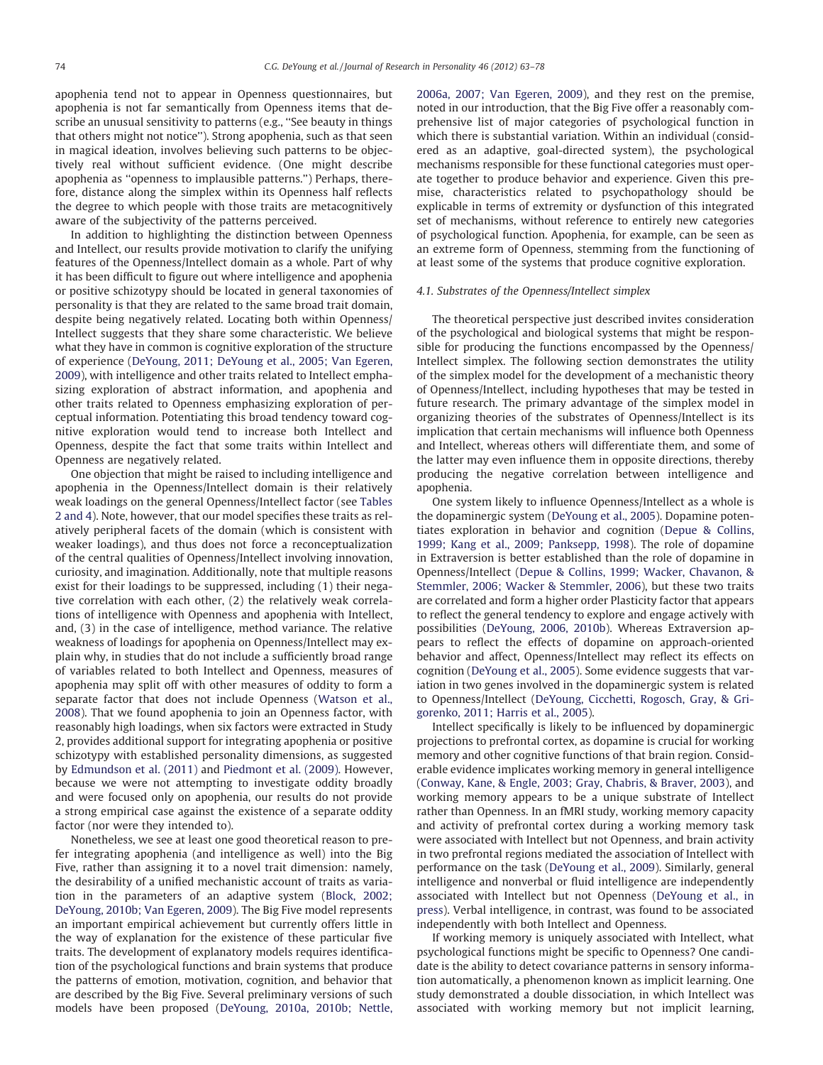apophenia tend not to appear in Openness questionnaires, but apophenia is not far semantically from Openness items that describe an unusual sensitivity to patterns (e.g., ''See beauty in things that others might not notice''). Strong apophenia, such as that seen in magical ideation, involves believing such patterns to be objectively real without sufficient evidence. (One might describe apophenia as ''openness to implausible patterns.'') Perhaps, therefore, distance along the simplex within its Openness half reflects the degree to which people with those traits are metacognitively aware of the subjectivity of the patterns perceived.

In addition to highlighting the distinction between Openness and Intellect, our results provide motivation to clarify the unifying features of the Openness/Intellect domain as a whole. Part of why it has been difficult to figure out where intelligence and apophenia or positive schizotypy should be located in general taxonomies of personality is that they are related to the same broad trait domain, despite being negatively related. Locating both within Openness/ Intellect suggests that they share some characteristic. We believe what they have in common is cognitive exploration of the structure of experience (DeYoung, 2011; DeYoung et al., 2005; Van Egeren, 2009), with intelligence and other traits related to Intellect emphasizing exploration of abstract information, and apophenia and other traits related to Openness emphasizing exploration of perceptual information. Potentiating this broad tendency toward cognitive exploration would tend to increase both Intellect and Openness, despite the fact that some traits within Intellect and Openness are negatively related.

One objection that might be raised to including intelligence and apophenia in the Openness/Intellect domain is their relatively weak loadings on the general Openness/Intellect factor (see Tables 2 and 4). Note, however, that our model specifies these traits as relatively peripheral facets of the domain (which is consistent with weaker loadings), and thus does not force a reconceptualization of the central qualities of Openness/Intellect involving innovation, curiosity, and imagination. Additionally, note that multiple reasons exist for their loadings to be suppressed, including (1) their negative correlation with each other, (2) the relatively weak correlations of intelligence with Openness and apophenia with Intellect, and, (3) in the case of intelligence, method variance. The relative weakness of loadings for apophenia on Openness/Intellect may explain why, in studies that do not include a sufficiently broad range of variables related to both Intellect and Openness, measures of apophenia may split off with other measures of oddity to form a separate factor that does not include Openness (Watson et al., 2008). That we found apophenia to join an Openness factor, with reasonably high loadings, when six factors were extracted in Study 2, provides additional support for integrating apophenia or positive schizotypy with established personality dimensions, as suggested by Edmundson et al. (2011) and Piedmont et al. (2009). However, because we were not attempting to investigate oddity broadly and were focused only on apophenia, our results do not provide a strong empirical case against the existence of a separate oddity factor (nor were they intended to).

Nonetheless, we see at least one good theoretical reason to prefer integrating apophenia (and intelligence as well) into the Big Five, rather than assigning it to a novel trait dimension: namely, the desirability of a unified mechanistic account of traits as variation in the parameters of an adaptive system (Block, 2002; DeYoung, 2010b; Van Egeren, 2009). The Big Five model represents an important empirical achievement but currently offers little in the way of explanation for the existence of these particular five traits. The development of explanatory models requires identification of the psychological functions and brain systems that produce the patterns of emotion, motivation, cognition, and behavior that are described by the Big Five. Several preliminary versions of such models have been proposed (DeYoung, 2010a, 2010b; Nettle,

2006a, 2007; Van Egeren, 2009), and they rest on the premise, noted in our introduction, that the Big Five offer a reasonably comprehensive list of major categories of psychological function in which there is substantial variation. Within an individual (considered as an adaptive, goal-directed system), the psychological mechanisms responsible for these functional categories must operate together to produce behavior and experience. Given this premise, characteristics related to psychopathology should be explicable in terms of extremity or dysfunction of this integrated set of mechanisms, without reference to entirely new categories of psychological function. Apophenia, for example, can be seen as an extreme form of Openness, stemming from the functioning of at least some of the systems that produce cognitive exploration.

#### 4.1. Substrates of the Openness/Intellect simplex

The theoretical perspective just described invites consideration of the psychological and biological systems that might be responsible for producing the functions encompassed by the Openness/ Intellect simplex. The following section demonstrates the utility of the simplex model for the development of a mechanistic theory of Openness/Intellect, including hypotheses that may be tested in future research. The primary advantage of the simplex model in organizing theories of the substrates of Openness/Intellect is its implication that certain mechanisms will influence both Openness and Intellect, whereas others will differentiate them, and some of the latter may even influence them in opposite directions, thereby producing the negative correlation between intelligence and apophenia.

One system likely to influence Openness/Intellect as a whole is the dopaminergic system (DeYoung et al., 2005). Dopamine potentiates exploration in behavior and cognition (Depue & Collins, 1999; Kang et al., 2009; Panksepp, 1998). The role of dopamine in Extraversion is better established than the role of dopamine in Openness/Intellect (Depue & Collins, 1999; Wacker, Chavanon, & Stemmler, 2006; Wacker & Stemmler, 2006), but these two traits are correlated and form a higher order Plasticity factor that appears to reflect the general tendency to explore and engage actively with possibilities (DeYoung, 2006, 2010b). Whereas Extraversion appears to reflect the effects of dopamine on approach-oriented behavior and affect, Openness/Intellect may reflect its effects on cognition (DeYoung et al., 2005). Some evidence suggests that variation in two genes involved in the dopaminergic system is related to Openness/Intellect (DeYoung, Cicchetti, Rogosch, Gray, & Grigorenko, 2011; Harris et al., 2005).

Intellect specifically is likely to be influenced by dopaminergic projections to prefrontal cortex, as dopamine is crucial for working memory and other cognitive functions of that brain region. Considerable evidence implicates working memory in general intelligence (Conway, Kane, & Engle, 2003; Gray, Chabris, & Braver, 2003), and working memory appears to be a unique substrate of Intellect rather than Openness. In an fMRI study, working memory capacity and activity of prefrontal cortex during a working memory task were associated with Intellect but not Openness, and brain activity in two prefrontal regions mediated the association of Intellect with performance on the task (DeYoung et al., 2009). Similarly, general intelligence and nonverbal or fluid intelligence are independently associated with Intellect but not Openness (DeYoung et al., in press). Verbal intelligence, in contrast, was found to be associated independently with both Intellect and Openness.

If working memory is uniquely associated with Intellect, what psychological functions might be specific to Openness? One candidate is the ability to detect covariance patterns in sensory information automatically, a phenomenon known as implicit learning. One study demonstrated a double dissociation, in which Intellect was associated with working memory but not implicit learning,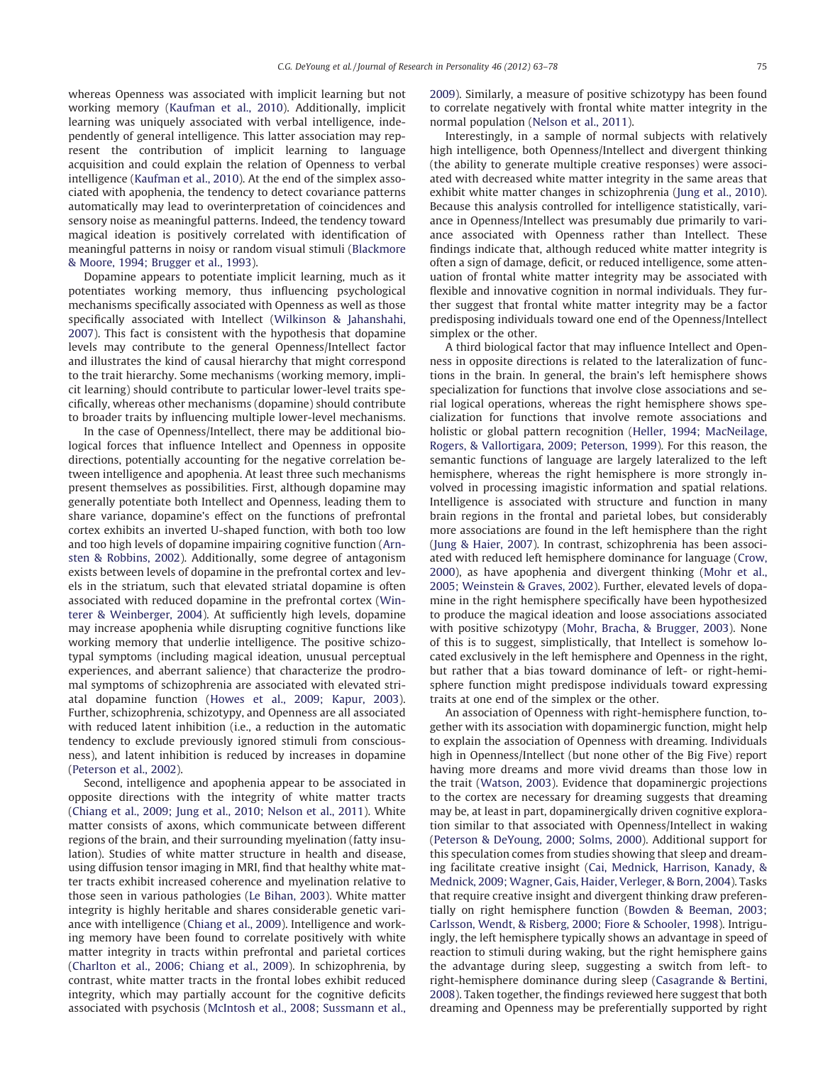whereas Openness was associated with implicit learning but not working memory (Kaufman et al., 2010). Additionally, implicit learning was uniquely associated with verbal intelligence, independently of general intelligence. This latter association may represent the contribution of implicit learning to language acquisition and could explain the relation of Openness to verbal intelligence (Kaufman et al., 2010). At the end of the simplex associated with apophenia, the tendency to detect covariance patterns automatically may lead to overinterpretation of coincidences and sensory noise as meaningful patterns. Indeed, the tendency toward magical ideation is positively correlated with identification of meaningful patterns in noisy or random visual stimuli (Blackmore & Moore, 1994; Brugger et al., 1993).

Dopamine appears to potentiate implicit learning, much as it potentiates working memory, thus influencing psychological mechanisms specifically associated with Openness as well as those specifically associated with Intellect (Wilkinson & Jahanshahi, 2007). This fact is consistent with the hypothesis that dopamine levels may contribute to the general Openness/Intellect factor and illustrates the kind of causal hierarchy that might correspond to the trait hierarchy. Some mechanisms (working memory, implicit learning) should contribute to particular lower-level traits specifically, whereas other mechanisms (dopamine) should contribute to broader traits by influencing multiple lower-level mechanisms.

In the case of Openness/Intellect, there may be additional biological forces that influence Intellect and Openness in opposite directions, potentially accounting for the negative correlation between intelligence and apophenia. At least three such mechanisms present themselves as possibilities. First, although dopamine may generally potentiate both Intellect and Openness, leading them to share variance, dopamine's effect on the functions of prefrontal cortex exhibits an inverted U-shaped function, with both too low and too high levels of dopamine impairing cognitive function (Arnsten & Robbins, 2002). Additionally, some degree of antagonism exists between levels of dopamine in the prefrontal cortex and levels in the striatum, such that elevated striatal dopamine is often associated with reduced dopamine in the prefrontal cortex (Winterer & Weinberger, 2004). At sufficiently high levels, dopamine may increase apophenia while disrupting cognitive functions like working memory that underlie intelligence. The positive schizotypal symptoms (including magical ideation, unusual perceptual experiences, and aberrant salience) that characterize the prodromal symptoms of schizophrenia are associated with elevated striatal dopamine function (Howes et al., 2009; Kapur, 2003). Further, schizophrenia, schizotypy, and Openness are all associated with reduced latent inhibition (i.e., a reduction in the automatic tendency to exclude previously ignored stimuli from consciousness), and latent inhibition is reduced by increases in dopamine (Peterson et al., 2002).

Second, intelligence and apophenia appear to be associated in opposite directions with the integrity of white matter tracts (Chiang et al., 2009; Jung et al., 2010; Nelson et al., 2011). White matter consists of axons, which communicate between different regions of the brain, and their surrounding myelination (fatty insulation). Studies of white matter structure in health and disease, using diffusion tensor imaging in MRI, find that healthy white matter tracts exhibit increased coherence and myelination relative to those seen in various pathologies (Le Bihan, 2003). White matter integrity is highly heritable and shares considerable genetic variance with intelligence (Chiang et al., 2009). Intelligence and working memory have been found to correlate positively with white matter integrity in tracts within prefrontal and parietal cortices (Charlton et al., 2006; Chiang et al., 2009). In schizophrenia, by contrast, white matter tracts in the frontal lobes exhibit reduced integrity, which may partially account for the cognitive deficits associated with psychosis (McIntosh et al., 2008; Sussmann et al.,

2009). Similarly, a measure of positive schizotypy has been found to correlate negatively with frontal white matter integrity in the normal population (Nelson et al., 2011).

Interestingly, in a sample of normal subjects with relatively high intelligence, both Openness/Intellect and divergent thinking (the ability to generate multiple creative responses) were associated with decreased white matter integrity in the same areas that exhibit white matter changes in schizophrenia (Jung et al., 2010). Because this analysis controlled for intelligence statistically, variance in Openness/Intellect was presumably due primarily to variance associated with Openness rather than Intellect. These findings indicate that, although reduced white matter integrity is often a sign of damage, deficit, or reduced intelligence, some attenuation of frontal white matter integrity may be associated with flexible and innovative cognition in normal individuals. They further suggest that frontal white matter integrity may be a factor predisposing individuals toward one end of the Openness/Intellect simplex or the other.

A third biological factor that may influence Intellect and Openness in opposite directions is related to the lateralization of functions in the brain. In general, the brain's left hemisphere shows specialization for functions that involve close associations and serial logical operations, whereas the right hemisphere shows specialization for functions that involve remote associations and holistic or global pattern recognition (Heller, 1994; MacNeilage, Rogers, & Vallortigara, 2009; Peterson, 1999). For this reason, the semantic functions of language are largely lateralized to the left hemisphere, whereas the right hemisphere is more strongly involved in processing imagistic information and spatial relations. Intelligence is associated with structure and function in many brain regions in the frontal and parietal lobes, but considerably more associations are found in the left hemisphere than the right (Jung & Haier, 2007). In contrast, schizophrenia has been associated with reduced left hemisphere dominance for language (Crow, 2000), as have apophenia and divergent thinking (Mohr et al., 2005; Weinstein & Graves, 2002). Further, elevated levels of dopamine in the right hemisphere specifically have been hypothesized to produce the magical ideation and loose associations associated with positive schizotypy (Mohr, Bracha, & Brugger, 2003). None of this is to suggest, simplistically, that Intellect is somehow located exclusively in the left hemisphere and Openness in the right, but rather that a bias toward dominance of left- or right-hemisphere function might predispose individuals toward expressing traits at one end of the simplex or the other.

An association of Openness with right-hemisphere function, together with its association with dopaminergic function, might help to explain the association of Openness with dreaming. Individuals high in Openness/Intellect (but none other of the Big Five) report having more dreams and more vivid dreams than those low in the trait (Watson, 2003). Evidence that dopaminergic projections to the cortex are necessary for dreaming suggests that dreaming may be, at least in part, dopaminergically driven cognitive exploration similar to that associated with Openness/Intellect in waking (Peterson & DeYoung, 2000; Solms, 2000). Additional support for this speculation comes from studies showing that sleep and dreaming facilitate creative insight (Cai, Mednick, Harrison, Kanady, & Mednick, 2009; Wagner, Gais, Haider, Verleger, & Born, 2004). Tasks that require creative insight and divergent thinking draw preferentially on right hemisphere function (Bowden & Beeman, 2003; Carlsson, Wendt, & Risberg, 2000; Fiore & Schooler, 1998). Intriguingly, the left hemisphere typically shows an advantage in speed of reaction to stimuli during waking, but the right hemisphere gains the advantage during sleep, suggesting a switch from left- to right-hemisphere dominance during sleep (Casagrande & Bertini, 2008). Taken together, the findings reviewed here suggest that both dreaming and Openness may be preferentially supported by right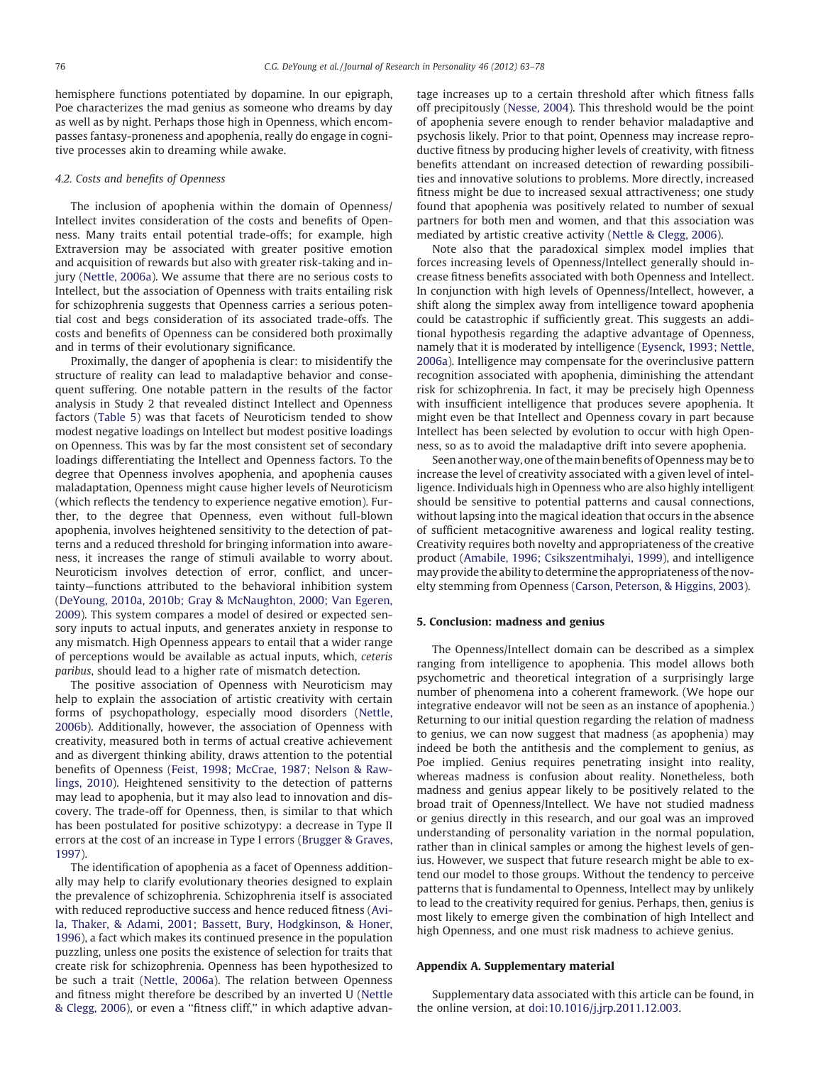hemisphere functions potentiated by dopamine. In our epigraph, Poe characterizes the mad genius as someone who dreams by day as well as by night. Perhaps those high in Openness, which encompasses fantasy-proneness and apophenia, really do engage in cognitive processes akin to dreaming while awake.

## 4.2. Costs and benefits of Openness

The inclusion of apophenia within the domain of Openness/ Intellect invites consideration of the costs and benefits of Openness. Many traits entail potential trade-offs; for example, high Extraversion may be associated with greater positive emotion and acquisition of rewards but also with greater risk-taking and injury (Nettle, 2006a). We assume that there are no serious costs to Intellect, but the association of Openness with traits entailing risk for schizophrenia suggests that Openness carries a serious potential cost and begs consideration of its associated trade-offs. The costs and benefits of Openness can be considered both proximally and in terms of their evolutionary significance.

Proximally, the danger of apophenia is clear: to misidentify the structure of reality can lead to maladaptive behavior and consequent suffering. One notable pattern in the results of the factor analysis in Study 2 that revealed distinct Intellect and Openness factors (Table 5) was that facets of Neuroticism tended to show modest negative loadings on Intellect but modest positive loadings on Openness. This was by far the most consistent set of secondary loadings differentiating the Intellect and Openness factors. To the degree that Openness involves apophenia, and apophenia causes maladaptation, Openness might cause higher levels of Neuroticism (which reflects the tendency to experience negative emotion). Further, to the degree that Openness, even without full-blown apophenia, involves heightened sensitivity to the detection of patterns and a reduced threshold for bringing information into awareness, it increases the range of stimuli available to worry about. Neuroticism involves detection of error, conflict, and uncertainty—functions attributed to the behavioral inhibition system (DeYoung, 2010a, 2010b; Gray & McNaughton, 2000; Van Egeren, 2009). This system compares a model of desired or expected sensory inputs to actual inputs, and generates anxiety in response to any mismatch. High Openness appears to entail that a wider range of perceptions would be available as actual inputs, which, ceteris paribus, should lead to a higher rate of mismatch detection.

The positive association of Openness with Neuroticism may help to explain the association of artistic creativity with certain forms of psychopathology, especially mood disorders (Nettle, 2006b). Additionally, however, the association of Openness with creativity, measured both in terms of actual creative achievement and as divergent thinking ability, draws attention to the potential benefits of Openness (Feist, 1998; McCrae, 1987; Nelson & Rawlings, 2010). Heightened sensitivity to the detection of patterns may lead to apophenia, but it may also lead to innovation and discovery. The trade-off for Openness, then, is similar to that which has been postulated for positive schizotypy: a decrease in Type II errors at the cost of an increase in Type I errors (Brugger & Graves, 1997).

The identification of apophenia as a facet of Openness additionally may help to clarify evolutionary theories designed to explain the prevalence of schizophrenia. Schizophrenia itself is associated with reduced reproductive success and hence reduced fitness (Avila, Thaker, & Adami, 2001; Bassett, Bury, Hodgkinson, & Honer, 1996), a fact which makes its continued presence in the population puzzling, unless one posits the existence of selection for traits that create risk for schizophrenia. Openness has been hypothesized to be such a trait (Nettle, 2006a). The relation between Openness and fitness might therefore be described by an inverted U (Nettle & Clegg, 2006), or even a ''fitness cliff,'' in which adaptive advantage increases up to a certain threshold after which fitness falls off precipitously (Nesse, 2004). This threshold would be the point of apophenia severe enough to render behavior maladaptive and psychosis likely. Prior to that point, Openness may increase reproductive fitness by producing higher levels of creativity, with fitness benefits attendant on increased detection of rewarding possibilities and innovative solutions to problems. More directly, increased fitness might be due to increased sexual attractiveness; one study found that apophenia was positively related to number of sexual partners for both men and women, and that this association was mediated by artistic creative activity (Nettle & Clegg, 2006).

Note also that the paradoxical simplex model implies that forces increasing levels of Openness/Intellect generally should increase fitness benefits associated with both Openness and Intellect. In conjunction with high levels of Openness/Intellect, however, a shift along the simplex away from intelligence toward apophenia could be catastrophic if sufficiently great. This suggests an additional hypothesis regarding the adaptive advantage of Openness, namely that it is moderated by intelligence (Eysenck, 1993; Nettle, 2006a). Intelligence may compensate for the overinclusive pattern recognition associated with apophenia, diminishing the attendant risk for schizophrenia. In fact, it may be precisely high Openness with insufficient intelligence that produces severe apophenia. It might even be that Intellect and Openness covary in part because Intellect has been selected by evolution to occur with high Openness, so as to avoid the maladaptive drift into severe apophenia.

Seen another way, one of the main benefits of Openness may be to increase the level of creativity associated with a given level of intelligence. Individuals high in Openness who are also highly intelligent should be sensitive to potential patterns and causal connections, without lapsing into the magical ideation that occurs in the absence of sufficient metacognitive awareness and logical reality testing. Creativity requires both novelty and appropriateness of the creative product (Amabile, 1996; Csikszentmihalyi, 1999), and intelligence may provide the ability to determine the appropriateness of the novelty stemming from Openness (Carson, Peterson, & Higgins, 2003).

# 5. Conclusion: madness and genius

The Openness/Intellect domain can be described as a simplex ranging from intelligence to apophenia. This model allows both psychometric and theoretical integration of a surprisingly large number of phenomena into a coherent framework. (We hope our integrative endeavor will not be seen as an instance of apophenia.) Returning to our initial question regarding the relation of madness to genius, we can now suggest that madness (as apophenia) may indeed be both the antithesis and the complement to genius, as Poe implied. Genius requires penetrating insight into reality, whereas madness is confusion about reality. Nonetheless, both madness and genius appear likely to be positively related to the broad trait of Openness/Intellect. We have not studied madness or genius directly in this research, and our goal was an improved understanding of personality variation in the normal population, rather than in clinical samples or among the highest levels of genius. However, we suspect that future research might be able to extend our model to those groups. Without the tendency to perceive patterns that is fundamental to Openness, Intellect may by unlikely to lead to the creativity required for genius. Perhaps, then, genius is most likely to emerge given the combination of high Intellect and high Openness, and one must risk madness to achieve genius.

# Appendix A. Supplementary material

Supplementary data associated with this article can be found, in the online version, at doi:10.1016/j.jrp.2011.12.003.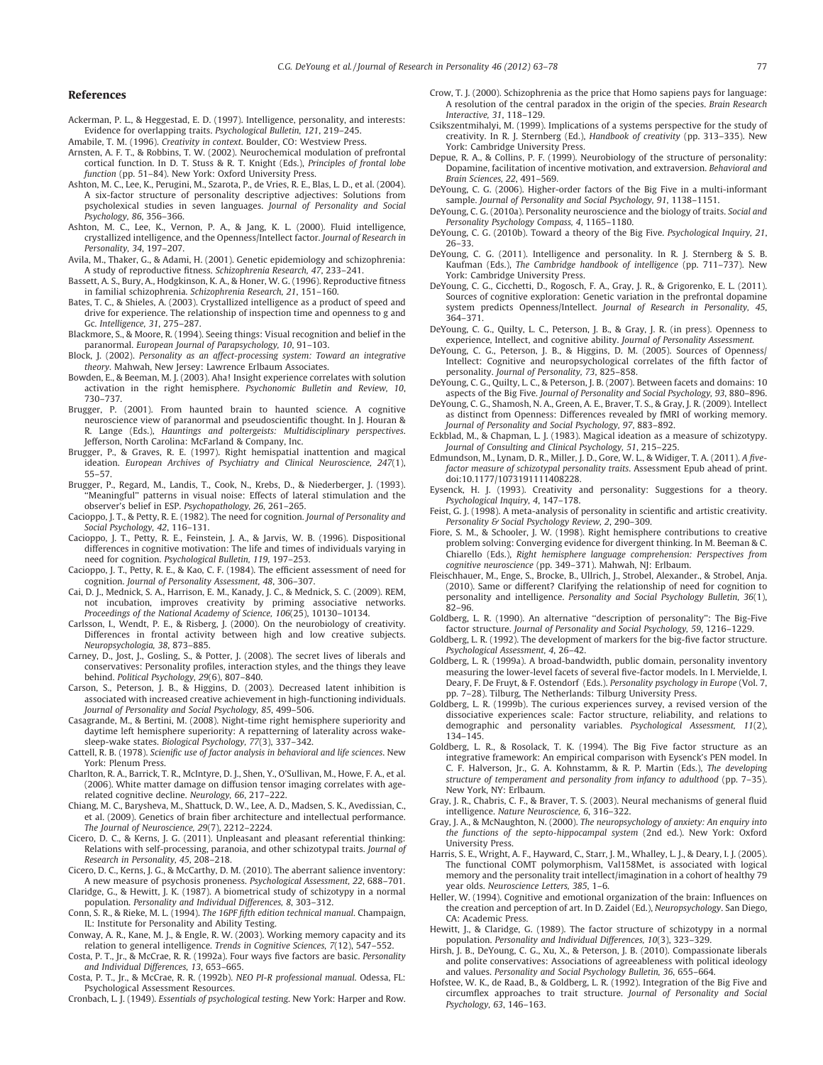## References

Ackerman, P. L., & Heggestad, E. D. (1997). Intelligence, personality, and interests: Evidence for overlapping traits. Psychological Bulletin, 121, 219–245.

Amabile, T. M. (1996). Creativity in context. Boulder, CO: Westview Press.

- Arnsten, A. F. T., & Robbins, T. W. (2002). Neurochemical modulation of prefrontal cortical function. In D. T. Stuss & R. T. Knight (Eds.), Principles of frontal lobe function (pp. 51–84). New York: Oxford University Press.
- Ashton, M. C., Lee, K., Perugini, M., Szarota, P., de Vries, R. E., Blas, L. D., et al. (2004). A six-factor structure of personality descriptive adjectives: Solutions from psycholexical studies in seven languages. Journal of Personality and Social Psychology, 86, 356–366.
- Ashton, M. C., Lee, K., Vernon, P. A., & Jang, K. L. (2000). Fluid intelligence, crystallized intelligence, and the Openness/Intellect factor. Journal of Research in Personality, 34, 197–207.
- Avila, M., Thaker, G., & Adami, H. (2001). Genetic epidemiology and schizophrenia: A study of reproductive fitness. Schizophrenia Research, 47, 233–241.
- Bassett, A. S., Bury, A., Hodgkinson, K. A., & Honer, W. G. (1996). Reproductive fitness in familial schizophrenia. Schizophrenia Research, 21, 151–160.
- Bates, T. C., & Shieles, A. (2003). Crystallized intelligence as a product of speed and drive for experience. The relationship of inspection time and openness to g and Gc. Intelligence, 31, 275–287.
- Blackmore, S., & Moore, R. (1994). Seeing things: Visual recognition and belief in the paranormal. European Journal of Parapsychology, 10, 91–103.
- Block, J. (2002). Personality as an affect-processing system: Toward an integrative theory. Mahwah, New Jersey: Lawrence Erlbaum Associates.
- Bowden, E., & Beeman, M. J. (2003). Aha! Insight experience correlates with solution activation in the right hemisphere. Psychonomic Bulletin and Review, 10, 730–737.
- Brugger, P. (2001). From haunted brain to haunted science. A cognitive neuroscience view of paranormal and pseudoscientific thought. In J. Houran & R. Lange (Eds.), Hauntings and poltergeists: Multidisciplinary perspectives. Jefferson, North Carolina: McFarland & Company, Inc.
- Brugger, P., & Graves, R. E. (1997). Right hemispatial inattention and magical ideation. European Archives of Psychiatry and Clinical Neuroscience, 247(1), 55–57.
- Brugger, P., Regard, M., Landis, T., Cook, N., Krebs, D., & Niederberger, J. (1993). 'Meaningful" patterns in visual noise: Effects of lateral stimulation and the observer's belief in ESP. Psychopathology, 26, 261–265.
- Cacioppo, J. T., & Petty, R. E. (1982). The need for cognition. Journal of Personality and Social Psychology, 42, 116–131.
- Cacioppo, J. T., Petty, R. E., Feinstein, J. A., & Jarvis, W. B. (1996). Dispositional differences in cognitive motivation: The life and times of individuals varying in need for cognition. Psychological Bulletin, 119, 197–253.
- Cacioppo, J. T., Petty, R. E., & Kao, C. F. (1984). The efficient assessment of need for cognition. Journal of Personality Assessment, 48, 306–307.
- Cai, D. J., Mednick, S. A., Harrison, E. M., Kanady, J. C., & Mednick, S. C. (2009). REM, not incubation, improves creativity by priming associative networks. Proceedings of the National Academy of Science, 106(25), 10130–10134.
- Carlsson, I., Wendt, P. E., & Risberg, J. (2000). On the neurobiology of creativity. Differences in frontal activity between high and low creative subjects. Neuropsychologia, 38, 873–885.
- Carney, D., Jost, J., Gosling, S., & Potter, J. (2008). The secret lives of liberals and conservatives: Personality profiles, interaction styles, and the things they leave behind. Political Psychology, 29(6), 807–840.
- Carson, S., Peterson, J. B., & Higgins, D. (2003). Decreased latent inhibition is associated with increased creative achievement in high-functioning individuals. Journal of Personality and Social Psychology, 85, 499–506.
- Casagrande, M., & Bertini, M. (2008). Night-time right hemisphere superiority and daytime left hemisphere superiority: A repatterning of laterality across wakesleep-wake states. Biological Psychology, 77(3), 337–342.
- Cattell, R. B. (1978). Scienific use of factor analysis in behavioral and life sciences. New York: Plenum Press.
- Charlton, R. A., Barrick, T. R., McIntyre, D. J., Shen, Y., O'Sullivan, M., Howe, F. A., et al. (2006). White matter damage on diffusion tensor imaging correlates with agerelated cognitive decline. Neurology, 66, 217–222.
- Chiang, M. C., Barysheva, M., Shattuck, D. W., Lee, A. D., Madsen, S. K., Avedissian, C., et al. (2009). Genetics of brain fiber architecture and intellectual performance. The Journal of Neuroscience, 29(7), 2212–2224.
- Cicero, D. C., & Kerns, J. G. (2011). Unpleasant and pleasant referential thinking: Relations with self-processing, paranoia, and other schizotypal traits. Journal of Research in Personality, 45, 208–218.
- Cicero, D. C., Kerns, J. G., & McCarthy, D. M. (2010). The aberrant salience inventory: A new measure of psychosis proneness. Psychological Assessment, 22, 688–701.
- Claridge, G., & Hewitt, J. K. (1987). A biometrical study of schizotypy in a normal population. Personality and Individual Differences, 8, 303–312.
- Conn, S. R., & Rieke, M. L. (1994). The 16PF fifth edition technical manual. Champaign, IL: Institute for Personality and Ability Testing.
- Conway, A. R., Kane, M. J., & Engle, R. W. (2003). Working memory capacity and its relation to general intelligence. Trends in Cognitive Sciences, 7(12), 547–552.
- Costa, P. T., Jr., & McCrae, R. R. (1992a). Four ways five factors are basic. Personality and Individual Differences, 13, 653–665.
- Costa, P. T., Jr., & McCrae, R. R. (1992b). NEO PI-R professional manual. Odessa, FL: Psychological Assessment Resources.
- Cronbach, L. J. (1949). Essentials of psychological testing. New York: Harper and Row.
- Crow, T. J. (2000). Schizophrenia as the price that Homo sapiens pays for language: A resolution of the central paradox in the origin of the species. Brain Research Interactive, 31, 118–129.
- Csikszentmihalyi, M. (1999). Implications of a systems perspective for the study of creativity. In R. J. Sternberg (Ed.), Handbook of creativity (pp. 313–335). New York: Cambridge University Press.
- Depue, R. A., & Collins, P. F. (1999). Neurobiology of the structure of personality: Dopamine, facilitation of incentive motivation, and extraversion. Behavioral and Brain Sciences, 22, 491–569.
- DeYoung, C. G. (2006). Higher-order factors of the Big Five in a multi-informant sample. Journal of Personality and Social Psychology, 91, 1138–1151.
- DeYoung, C. G. (2010a). Personality neuroscience and the biology of traits. Social and Personality Psychology Compass, 4, 1165–1180.
- DeYoung, C. G. (2010b). Toward a theory of the Big Five. Psychological Inquiry, 21, 26–33.
- DeYoung, C. G. (2011). Intelligence and personality. In R. J. Sternberg & S. B. Kaufman (Eds.), The Cambridge handbook of intelligence (pp. 711–737). New York: Cambridge University Press.
- DeYoung, C. G., Cicchetti, D., Rogosch, F. A., Gray, J. R., & Grigorenko, E. L. (2011). Sources of cognitive exploration: Genetic variation in the prefrontal dopamine system predicts Openness/Intellect. Journal of Research in Personality, 45, 364–371.
- DeYoung, C. G., Quilty, L. C., Peterson, J. B., & Gray, J. R. (in press). Openness to experience, Intellect, and cognitive ability. Journal of Personality Assessment.
- DeYoung, C. G., Peterson, J. B., & Higgins, D. M. (2005). Sources of Openness/ Intellect: Cognitive and neuropsychological correlates of the fifth factor of personality. Journal of Personality, 73, 825–858.
- DeYoung, C. G., Quilty, L. C., & Peterson, J. B. (2007). Between facets and domains: 10 aspects of the Big Five. Journal of Personality and Social Psychology, 93, 880–896.
- DeYoung, C. G., Shamosh, N. A., Green, A. E., Braver, T. S., & Gray, J. R. (2009). Intellect as distinct from Openness: Differences revealed by fMRI of working memory. Journal of Personality and Social Psychology, 97, 883–892.
- Eckblad, M., & Chapman, L. J. (1983). Magical ideation as a measure of schizotypy. Journal of Consulting and Clinical Psychology, 51, 215–225.
- Edmundson, M., Lynam, D. R., Miller, J. D., Gore, W. L., & Widiger, T. A. (2011). A fivefactor measure of schizotypal personality traits. Assessment Epub ahead of print. doi:10.1177/1073191111408228.
- Eysenck, H. J. (1993). Creativity and personality: Suggestions for a theory. Psychological Inquiry, 4, 147–178.
- Feist, G. J. (1998). A meta-analysis of personality in scientific and artistic creativity. Personality & Social Psychology Review, 2, 290–309.
- Fiore, S. M., & Schooler, J. W. (1998). Right hemisphere contributions to creative problem solving: Converging evidence for divergent thinking. In M. Beeman & C. Chiarello (Eds.), Right hemisphere language comprehension: Perspectives from cognitive neuroscience (pp. 349–371). Mahwah, NJ: Erlbaum.
- Fleischhauer, M., Enge, S., Brocke, B., Ullrich, J., Strobel, Alexander., & Strobel, Anja. (2010). Same or different? Clarifying the relationship of need for cognition to personality and intelligence. Personality and Social Psychology Bulletin, 36(1), 82–96.
- Goldberg, L. R. (1990). An alternative ''description of personality'': The Big-Five factor structure. Journal of Personality and Social Psychology, 59, 1216–1229.
- Goldberg, L. R. (1992). The development of markers for the big-five factor structure. Psychological Assessment, 4, 26–42.
- Goldberg, L. R. (1999a). A broad-bandwidth, public domain, personality inventory measuring the lower-level facets of several five-factor models. In I. Mervielde, I. Deary, F. De Fruyt, & F. Ostendorf (Eds.). Personality psychology in Europe (Vol. 7, pp. 7–28). Tilburg, The Netherlands: Tilburg University Press.
- Goldberg, L. R. (1999b). The curious experiences survey, a revised version of the dissociative experiences scale: Factor structure, reliability, and relations to demographic and personality variables. Psychological Assessment, 11(2), 134–145.
- Goldberg, L. R., & Rosolack, T. K. (1994). The Big Five factor structure as an integrative framework: An empirical comparison with Eysenck's PEN model. In C. F. Halverson, Jr., G. A. Kohnstamm, & R. P. Martin (Eds.), The developing structure of temperament and personality from infancy to adulthood (pp. 7–35). New York, NY: Erlbaum.
- Gray, J. R., Chabris, C. F., & Braver, T. S. (2003). Neural mechanisms of general fluid intelligence. Nature Neuroscience, 6, 316–322.
- Gray, J. A., & McNaughton, N. (2000). The neuropsychology of anxiety: An enquiry into the functions of the septo-hippocampal system (2nd ed.). New York: Oxford University Press.
- Harris, S. E., Wright, A. F., Hayward, C., Starr, J. M., Whalley, L. J., & Deary, I. J. (2005). The functional COMT polymorphism, Val158Met, is associated with logical memory and the personality trait intellect/imagination in a cohort of healthy 79 year olds. Neuroscience Letters, 385, 1–6.
- Heller, W. (1994). Cognitive and emotional organization of the brain: Influences on the creation and perception of art. In D. Zaidel (Ed.), Neuropsychology. San Diego, CA: Academic Press.
- Hewitt, J., & Claridge, G. (1989). The factor structure of schizotypy in a normal population. Personality and Individual Differences, 10(3), 323–329.
- Hirsh, J. B., DeYoung, C. G., Xu, X., & Peterson, J. B. (2010). Compassionate liberals and polite conservatives: Associations of agreeableness with political ideology and values. Personality and Social Psychology Bulletin, 36, 655–664.
- Hofstee, W. K., de Raad, B., & Goldberg, L. R. (1992). Integration of the Big Five and circumflex approaches to trait structure. Journal of Personality and Social Psychology, 63, 146–163.